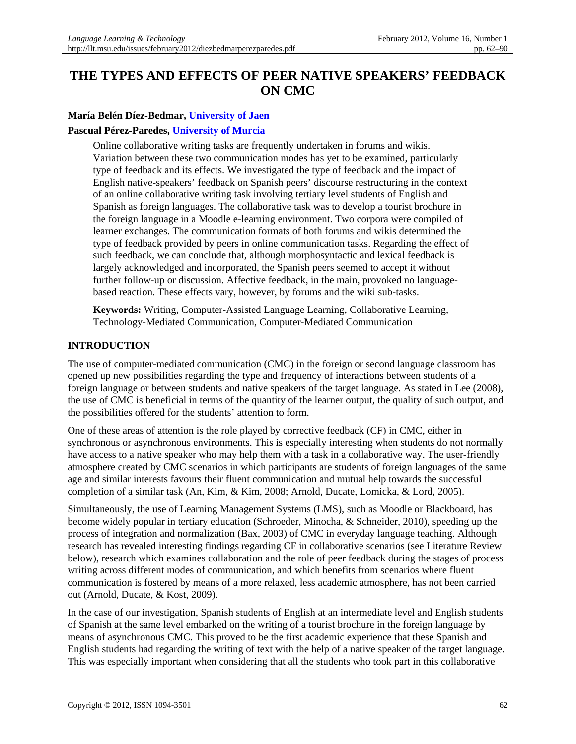# **THE TYPES AND EFFECTS OF PEER NATIVE SPEAKERS' FEEDBACK ON CMC**

# **María Belén Díez-Bedmar, [University of Jaen](http://www.ujaen.es/serv/vicint/home/portada.php?idioma=en)**

## **Pascual Pérez-Paredes, [University of Murcia](http://www.um.es/english/)**

Online collaborative writing tasks are frequently undertaken in forums and wikis. Variation between these two communication modes has yet to be examined, particularly type of feedback and its effects. We investigated the type of feedback and the impact of English native-speakers' feedback on Spanish peers' discourse restructuring in the context of an online collaborative writing task involving tertiary level students of English and Spanish as foreign languages. The collaborative task was to develop a tourist brochure in the foreign language in a Moodle e-learning environment. Two corpora were compiled of learner exchanges. The communication formats of both forums and wikis determined the type of feedback provided by peers in online communication tasks. Regarding the effect of such feedback, we can conclude that, although morphosyntactic and lexical feedback is largely acknowledged and incorporated, the Spanish peers seemed to accept it without further follow-up or discussion. Affective feedback, in the main, provoked no languagebased reaction. These effects vary, however, by forums and the wiki sub-tasks.

**Keywords:** Writing, Computer-Assisted Language Learning, Collaborative Learning, Technology-Mediated Communication, Computer-Mediated Communication

### **INTRODUCTION**

The use of computer-mediated communication (CMC) in the foreign or second language classroom has opened up new possibilities regarding the type and frequency of interactions between students of a foreign language or between students and native speakers of the target language. As stated in Lee (2008), the use of CMC is beneficial in terms of the quantity of the learner output, the quality of such output, and the possibilities offered for the students' attention to form.

One of these areas of attention is the role played by corrective feedback (CF) in CMC, either in synchronous or asynchronous environments. This is especially interesting when students do not normally have access to a native speaker who may help them with a task in a collaborative way. The user-friendly atmosphere created by CMC scenarios in which participants are students of foreign languages of the same age and similar interests favours their fluent communication and mutual help towards the successful completion of a similar task (An, Kim, & Kim, 2008; Arnold, Ducate, Lomicka, & Lord, 2005).

Simultaneously, the use of Learning Management Systems (LMS), such as Moodle or Blackboard, has become widely popular in tertiary education (Schroeder, Minocha, & Schneider, 2010), speeding up the process of integration and normalization (Bax, 2003) of CMC in everyday language teaching. Although research has revealed interesting findings regarding CF in collaborative scenarios (see Literature Review below), research which examines collaboration and the role of peer feedback during the stages of process writing across different modes of communication, and which benefits from scenarios where fluent communication is fostered by means of a more relaxed, less academic atmosphere, has not been carried out (Arnold, Ducate, & Kost, 2009).

In the case of our investigation, Spanish students of English at an intermediate level and English students of Spanish at the same level embarked on the writing of a tourist brochure in the foreign language by means of asynchronous CMC. This proved to be the first academic experience that these Spanish and English students had regarding the writing of text with the help of a native speaker of the target language. This was especially important when considering that all the students who took part in this collaborative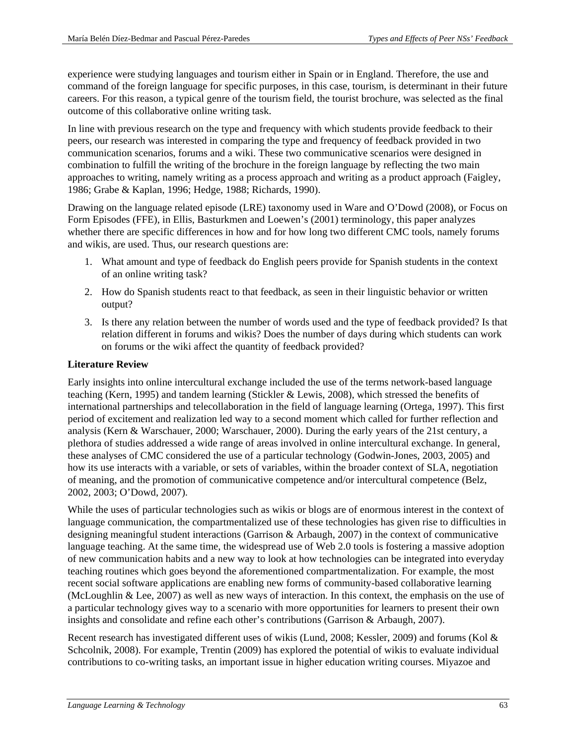experience were studying languages and tourism either in Spain or in England. Therefore, the use and command of the foreign language for specific purposes, in this case, tourism, is determinant in their future careers. For this reason, a typical genre of the tourism field, the tourist brochure, was selected as the final outcome of this collaborative online writing task.

In line with previous research on the type and frequency with which students provide feedback to their peers, our research was interested in comparing the type and frequency of feedback provided in two communication scenarios, forums and a wiki. These two communicative scenarios were designed in combination to fulfill the writing of the brochure in the foreign language by reflecting the two main approaches to writing, namely writing as a process approach and writing as a product approach (Faigley, 1986; Grabe & Kaplan, 1996; Hedge, 1988; Richards, 1990).

Drawing on the language related episode (LRE) taxonomy used in Ware and O'Dowd (2008), or Focus on Form Episodes (FFE), in Ellis, Basturkmen and Loewen's (2001) terminology, this paper analyzes whether there are specific differences in how and for how long two different CMC tools, namely forums and wikis, are used. Thus, our research questions are:

- 1. What amount and type of feedback do English peers provide for Spanish students in the context of an online writing task?
- 2. How do Spanish students react to that feedback, as seen in their linguistic behavior or written output?
- 3. Is there any relation between the number of words used and the type of feedback provided? Is that relation different in forums and wikis? Does the number of days during which students can work on forums or the wiki affect the quantity of feedback provided?

# **Literature Review**

Early insights into online intercultural exchange included the use of the terms network-based language teaching (Kern, 1995) and tandem learning (Stickler & Lewis, 2008), which stressed the benefits of international partnerships and telecollaboration in the field of language learning (Ortega, 1997). This first period of excitement and realization led way to a second moment which called for further reflection and analysis (Kern & Warschauer, 2000; Warschauer, 2000). During the early years of the 21st century, a plethora of studies addressed a wide range of areas involved in online intercultural exchange. In general, these analyses of CMC considered the use of a particular technology (Godwin-Jones, 2003, 2005) and how its use interacts with a variable, or sets of variables, within the broader context of SLA, negotiation of meaning, and the promotion of communicative competence and/or intercultural competence (Belz, 2002, 2003; O'Dowd, 2007).

While the uses of particular technologies such as wikis or blogs are of enormous interest in the context of language communication, the compartmentalized use of these technologies has given rise to difficulties in designing meaningful student interactions (Garrison & Arbaugh, 2007) in the context of communicative language teaching. At the same time, the widespread use of Web 2.0 tools is fostering a massive adoption of new communication habits and a new way to look at how technologies can be integrated into everyday teaching routines which goes beyond the aforementioned compartmentalization. For example, the most recent social software applications are enabling new forms of community-based collaborative learning (McLoughlin & Lee, 2007) as well as new ways of interaction. In this context, the emphasis on the use of a particular technology gives way to a scenario with more opportunities for learners to present their own insights and consolidate and refine each other's contributions (Garrison & Arbaugh, 2007).

Recent research has investigated different uses of wikis (Lund, 2008; Kessler, 2009) and forums (Kol & Schcolnik, 2008). For example, Trentin (2009) has explored the potential of wikis to evaluate individual contributions to co-writing tasks, an important issue in higher education writing courses. Miyazoe and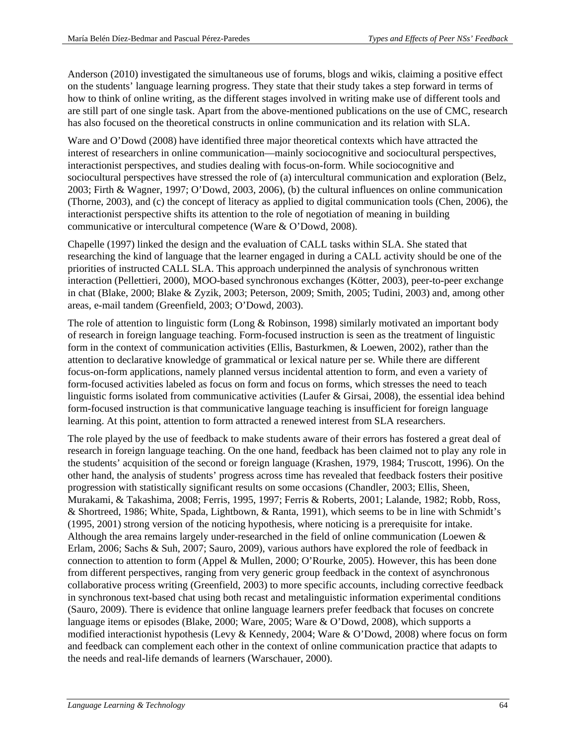Anderson (2010) investigated the simultaneous use of forums, blogs and wikis, claiming a positive effect on the students' language learning progress. They state that their study takes a step forward in terms of how to think of online writing, as the different stages involved in writing make use of different tools and are still part of one single task. Apart from the above-mentioned publications on the use of CMC, research has also focused on the theoretical constructs in online communication and its relation with SLA.

Ware and O'Dowd (2008) have identified three major theoretical contexts which have attracted the interest of researchers in online communication—mainly sociocognitive and sociocultural perspectives, interactionist perspectives, and studies dealing with focus-on-form. While sociocognitive and sociocultural perspectives have stressed the role of (a) intercultural communication and exploration (Belz, 2003; Firth & Wagner, 1997; O'Dowd, 2003, 2006), (b) the cultural influences on online communication (Thorne, 2003), and (c) the concept of literacy as applied to digital communication tools (Chen, 2006), the interactionist perspective shifts its attention to the role of negotiation of meaning in building communicative or intercultural competence (Ware & O'Dowd, 2008).

Chapelle (1997) linked the design and the evaluation of CALL tasks within SLA. She stated that researching the kind of language that the learner engaged in during a CALL activity should be one of the priorities of instructed CALL SLA. This approach underpinned the analysis of synchronous written interaction (Pellettieri, 2000), MOO-based synchronous exchanges (Kötter, 2003), peer-to-peer exchange in chat (Blake, 2000; Blake & Zyzik, 2003; Peterson, 2009; Smith, 2005; Tudini, 2003) and, among other areas, e-mail tandem (Greenfield, 2003; O'Dowd, 2003).

The role of attention to linguistic form (Long & Robinson, 1998) similarly motivated an important body of research in foreign language teaching. Form-focused instruction is seen as the treatment of linguistic form in the context of communication activities (Ellis, Basturkmen, & Loewen, 2002), rather than the attention to declarative knowledge of grammatical or lexical nature per se. While there are different focus-on-form applications, namely planned versus incidental attention to form, and even a variety of form-focused activities labeled as focus on form and focus on forms, which stresses the need to teach linguistic forms isolated from communicative activities (Laufer & Girsai, 2008), the essential idea behind form-focused instruction is that communicative language teaching is insufficient for foreign language learning. At this point, attention to form attracted a renewed interest from SLA researchers.

The role played by the use of feedback to make students aware of their errors has fostered a great deal of research in foreign language teaching. On the one hand, feedback has been claimed not to play any role in the students' acquisition of the second or foreign language (Krashen, 1979, 1984; Truscott, 1996). On the other hand, the analysis of students' progress across time has revealed that feedback fosters their positive progression with statistically significant results on some occasions (Chandler, 2003; Ellis, Sheen, Murakami, & Takashima, 2008; Ferris, 1995, 1997; Ferris & Roberts, 2001; Lalande, 1982; Robb, Ross, & Shortreed, 1986; White, Spada, Lightbown, & Ranta, 1991), which seems to be in line with Schmidt's (1995, 2001) strong version of the noticing hypothesis, where noticing is a prerequisite for intake. Although the area remains largely under-researched in the field of online communication (Loewen & Erlam, 2006; Sachs & Suh, 2007; Sauro, 2009), various authors have explored the role of feedback in connection to attention to form (Appel & Mullen, 2000; O'Rourke, 2005). However, this has been done from different perspectives, ranging from very generic group feedback in the context of asynchronous collaborative process writing (Greenfield, 2003) to more specific accounts, including corrective feedback in synchronous text-based chat using both recast and metalinguistic information experimental conditions (Sauro, 2009). There is evidence that online language learners prefer feedback that focuses on concrete language items or episodes (Blake, 2000; Ware, 2005; Ware & O'Dowd, 2008), which supports a modified interactionist hypothesis (Levy & Kennedy, 2004; Ware & O'Dowd, 2008) where focus on form and feedback can complement each other in the context of online communication practice that adapts to the needs and real-life demands of learners (Warschauer, 2000).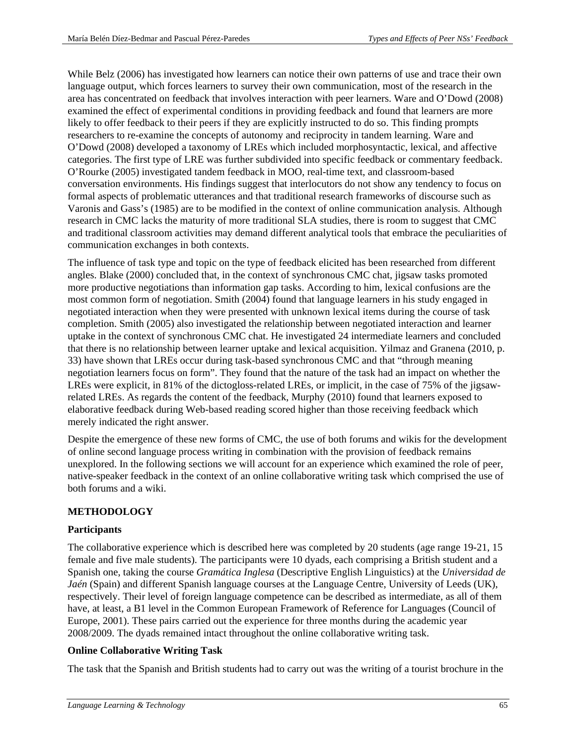While Belz (2006) has investigated how learners can notice their own patterns of use and trace their own language output, which forces learners to survey their own communication, most of the research in the area has concentrated on feedback that involves interaction with peer learners. Ware and O'Dowd (2008) examined the effect of experimental conditions in providing feedback and found that learners are more likely to offer feedback to their peers if they are explicitly instructed to do so. This finding prompts researchers to re-examine the concepts of autonomy and reciprocity in tandem learning. Ware and O'Dowd (2008) developed a taxonomy of LREs which included morphosyntactic, lexical, and affective categories. The first type of LRE was further subdivided into specific feedback or commentary feedback. O'Rourke (2005) investigated tandem feedback in MOO, real-time text, and classroom-based conversation environments. His findings suggest that interlocutors do not show any tendency to focus on formal aspects of problematic utterances and that traditional research frameworks of discourse such as Varonis and Gass's (1985) are to be modified in the context of online communication analysis. Although research in CMC lacks the maturity of more traditional SLA studies, there is room to suggest that CMC and traditional classroom activities may demand different analytical tools that embrace the peculiarities of communication exchanges in both contexts.

The influence of task type and topic on the type of feedback elicited has been researched from different angles. Blake (2000) concluded that, in the context of synchronous CMC chat, jigsaw tasks promoted more productive negotiations than information gap tasks. According to him, lexical confusions are the most common form of negotiation. Smith (2004) found that language learners in his study engaged in negotiated interaction when they were presented with unknown lexical items during the course of task completion. Smith (2005) also investigated the relationship between negotiated interaction and learner uptake in the context of synchronous CMC chat. He investigated 24 intermediate learners and concluded that there is no relationship between learner uptake and lexical acquisition. Yilmaz and Granena (2010, p. 33) have shown that LREs occur during task-based synchronous CMC and that "through meaning negotiation learners focus on form". They found that the nature of the task had an impact on whether the LREs were explicit, in 81% of the dictogloss-related LREs, or implicit, in the case of 75% of the jigsawrelated LREs. As regards the content of the feedback, Murphy (2010) found that learners exposed to elaborative feedback during Web-based reading scored higher than those receiving feedback which merely indicated the right answer.

Despite the emergence of these new forms of CMC, the use of both forums and wikis for the development of online second language process writing in combination with the provision of feedback remains unexplored. In the following sections we will account for an experience which examined the role of peer, native-speaker feedback in the context of an online collaborative writing task which comprised the use of both forums and a wiki.

# **METHODOLOGY**

# **Participants**

The collaborative experience which is described here was completed by 20 students (age range 19-21, 15 female and five male students). The participants were 10 dyads, each comprising a British student and a Spanish one, taking the course *Gramática Inglesa* (Descriptive English Linguistics) at the *Universidad de Jaén* (Spain) and different Spanish language courses at the Language Centre, University of Leeds (UK), respectively. Their level of foreign language competence can be described as intermediate, as all of them have, at least, a B1 level in the Common European Framework of Reference for Languages (Council of Europe, 2001). These pairs carried out the experience for three months during the academic year 2008/2009. The dyads remained intact throughout the online collaborative writing task.

# **Online Collaborative Writing Task**

The task that the Spanish and British students had to carry out was the writing of a tourist brochure in the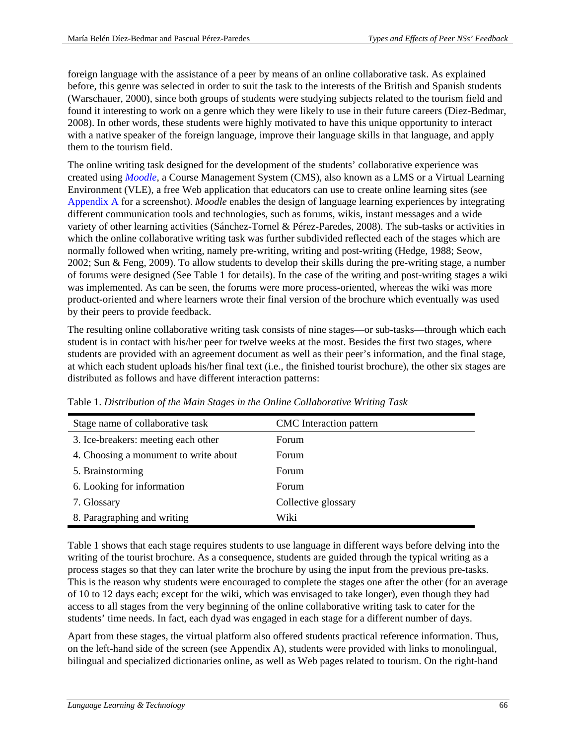foreign language with the assistance of a peer by means of an online collaborative task. As explained before, this genre was selected in order to suit the task to the interests of the British and Spanish students (Warschauer, 2000), since both groups of students were studying subjects related to the tourism field and found it interesting to work on a genre which they were likely to use in their future careers (Diez-Bedmar, 2008). In other words, these students were highly motivated to have this unique opportunity to interact with a native speaker of the foreign language, improve their language skills in that language, and apply them to the tourism field.

The online writing task designed for the development of the students' collaborative experience was created using *[Moodle](http://www.moodle.org/)*, a Course Management System (CMS), also known as a LMS or a Virtual Learning Environment (VLE), a free Web application that educators can use to create online learning sites (see [Appendix A](#page-21-0) for a screenshot). *Moodle* enables the design of language learning experiences by integrating different communication tools and technologies, such as forums, wikis, instant messages and a wide variety of other learning activities (Sánchez-Tornel & Pérez-Paredes, 2008). The sub-tasks or activities in which the online collaborative writing task was further subdivided reflected each of the stages which are normally followed when writing, namely pre-writing, writing and post-writing (Hedge, 1988; Seow, 2002; Sun & Feng, 2009). To allow students to develop their skills during the pre-writing stage, a number of forums were designed (See Table 1 for details). In the case of the writing and post-writing stages a wiki was implemented. As can be seen, the forums were more process-oriented, whereas the wiki was more product-oriented and where learners wrote their final version of the brochure which eventually was used by their peers to provide feedback.

The resulting online collaborative writing task consists of nine stages—or sub-tasks—through which each student is in contact with his/her peer for twelve weeks at the most. Besides the first two stages, where students are provided with an agreement document as well as their peer's information, and the final stage, at which each student uploads his/her final text (i.e., the finished tourist brochure), the other six stages are distributed as follows and have different interaction patterns:

| Stage name of collaborative task      | CMC Interaction pattern |
|---------------------------------------|-------------------------|
| 3. Ice-breakers: meeting each other   | Forum                   |
| 4. Choosing a monument to write about | Forum                   |
| 5. Brainstorming                      | <b>Forum</b>            |
| 6. Looking for information            | <b>Forum</b>            |
| 7. Glossary                           | Collective glossary     |
| 8. Paragraphing and writing           | Wiki                    |

Table 1. *Distribution of the Main Stages in the Online Collaborative Writing Task*

Table 1 shows that each stage requires students to use language in different ways before delving into the writing of the tourist brochure. As a consequence, students are guided through the typical writing as a process stages so that they can later write the brochure by using the input from the previous pre-tasks. This is the reason why students were encouraged to complete the stages one after the other (for an average of 10 to 12 days each; except for the wiki, which was envisaged to take longer), even though they had access to all stages from the very beginning of the online collaborative writing task to cater for the students' time needs. In fact, each dyad was engaged in each stage for a different number of days.

Apart from these stages, the virtual platform also offered students practical reference information. Thus, on the left-hand side of the screen (see Appendix A), students were provided with links to monolingual, bilingual and specialized dictionaries online, as well as Web pages related to tourism. On the right-hand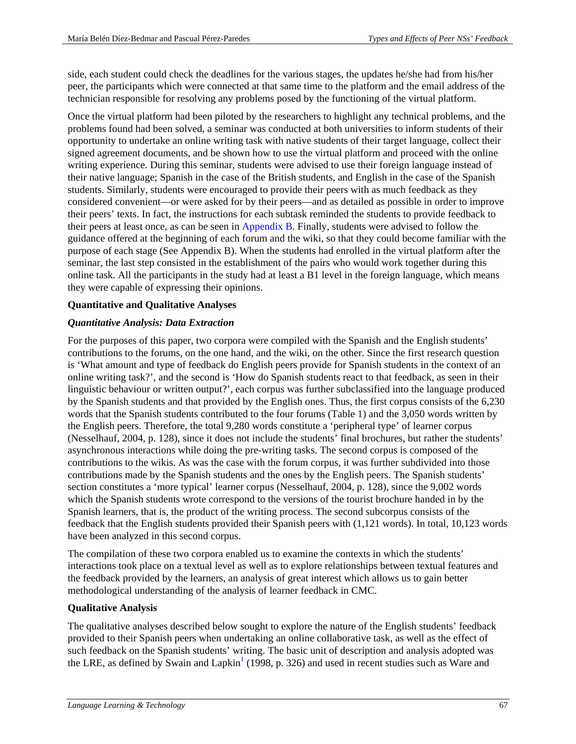side, each student could check the deadlines for the various stages, the updates he/she had from his/her peer, the participants which were connected at that same time to the platform and the email address of the technician responsible for resolving any problems posed by the functioning of the virtual platform.

Once the virtual platform had been piloted by the researchers to highlight any technical problems, and the problems found had been solved, a seminar was conducted at both universities to inform students of their opportunity to undertake an online writing task with native students of their target language, collect their signed agreement documents, and be shown how to use the virtual platform and proceed with the online writing experience. During this seminar, students were advised to use their foreign language instead of their native language; Spanish in the case of the British students, and English in the case of the Spanish students. Similarly, students were encouraged to provide their peers with as much feedback as they considered convenient—or were asked for by their peers—and as detailed as possible in order to improve their peers' texts. In fact, the instructions for each subtask reminded the students to provide feedback to their peers at least once, as can be seen in [Appendix B.](#page-22-0) Finally, students were advised to follow the guidance offered at the beginning of each forum and the wiki, so that they could become familiar with the purpose of each stage (See Appendix B). When the students had enrolled in the virtual platform after the seminar, the last step consisted in the establishment of the pairs who would work together during this online task. All the participants in the study had at least a B1 level in the foreign language, which means they were capable of expressing their opinions.

# **Quantitative and Qualitative Analyses**

# *Quantitative Analysis: Data Extraction*

For the purposes of this paper, two corpora were compiled with the Spanish and the English students' contributions to the forums, on the one hand, and the wiki, on the other. Since the first research question is 'What amount and type of feedback do English peers provide for Spanish students in the context of an online writing task?', and the second is 'How do Spanish students react to that feedback, as seen in their linguistic behaviour or written output?', each corpus was further subclassified into the language produced by the Spanish students and that provided by the English ones. Thus, the first corpus consists of the 6,230 words that the Spanish students contributed to the four forums (Table 1) and the 3,050 words written by the English peers. Therefore, the total 9,280 words constitute a 'peripheral type' of learner corpus (Nesselhauf, 2004, p. 128), since it does not include the students' final brochures, but rather the students' asynchronous interactions while doing the pre-writing tasks. The second corpus is composed of the contributions to the wikis. As was the case with the forum corpus, it was further subdivided into those contributions made by the Spanish students and the ones by the English peers. The Spanish students' section constitutes a 'more typical' learner corpus (Nesselhauf, 2004, p. 128), since the 9,002 words which the Spanish students wrote correspond to the versions of the tourist brochure handed in by the Spanish learners, that is, the product of the writing process. The second subcorpus consists of the feedback that the English students provided their Spanish peers with (1,121 words). In total, 10,123 words have been analyzed in this second corpus.

The compilation of these two corpora enabled us to examine the contexts in which the students' interactions took place on a textual level as well as to explore relationships between textual features and the feedback provided by the learners, an analysis of great interest which allows us to gain better methodological understanding of the analysis of learner feedback in CMC.

# **Qualitative Analysis**

<span id="page-5-0"></span>The qualitative analyses described below sought to explore the nature of the English students' feedback provided to their Spanish peers when undertaking an online collaborative task, as well as the effect of such feedback on the Spanish students' writing. The basic unit of description and analysis adopted was the LRE, as defined by Swain and Lapkin<sup>[1](#page-23-0)</sup> (1998, p. 326) and used in recent studies such as Ware and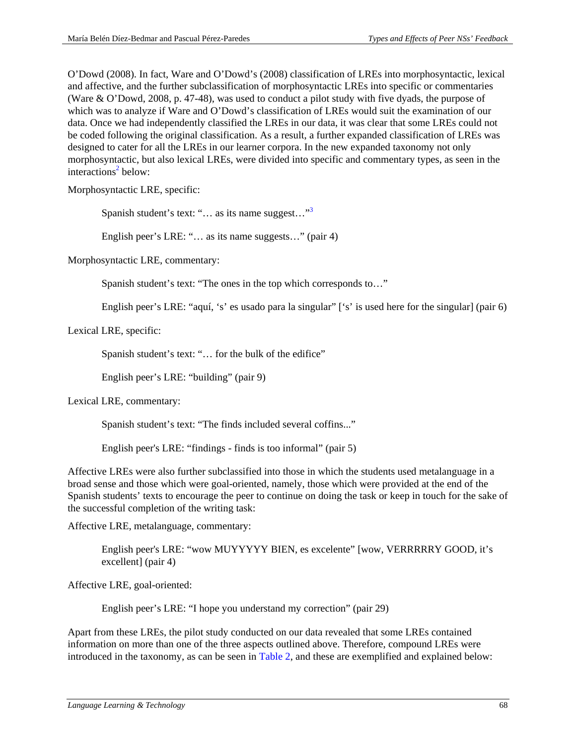O'Dowd (2008). In fact, Ware and O'Dowd's (2008) classification of LREs into morphosyntactic, lexical and affective, and the further subclassification of morphosyntactic LREs into specific or commentaries (Ware & O'Dowd, 2008, p. 47-48), was used to conduct a pilot study with five dyads, the purpose of which was to analyze if Ware and O'Dowd's classification of LREs would suit the examination of our data. Once we had independently classified the LREs in our data, it was clear that some LREs could not be coded following the original classification. As a result, a further expanded classification of LREs was designed to cater for all the LREs in our learner corpora. In the new expanded taxonomy not only morphosyntactic, but also lexical LREs, were divided into specific and commentary types, as seen in the interactions<sup>2</sup> below:

Morphosyntactic LRE, specific:

<span id="page-6-1"></span><span id="page-6-0"></span>Spanish student's text: " $\dots$  as its name suggest..."<sup>3</sup>

English peer's LRE: "… as its name suggests…" (pair 4)

Morphosyntactic LRE, commentary:

Spanish student's text: "The ones in the top which corresponds to…"

English peer's LRE: "aquí, 's' es usado para la singular" ['s' is used here for the singular] (pair 6)

Lexical LRE, specific:

Spanish student's text: "… for the bulk of the edifice"

English peer's LRE: "building" (pair 9)

Lexical LRE, commentary:

Spanish student's text: "The finds included several coffins..."

English peer's LRE: "findings - finds is too informal" (pair 5)

Affective LREs were also further subclassified into those in which the students used metalanguage in a broad sense and those which were goal-oriented, namely, those which were provided at the end of the Spanish students' texts to encourage the peer to continue on doing the task or keep in touch for the sake of the successful completion of the writing task:

Affective LRE, metalanguage, commentary:

English peer's LRE: "wow MUYYYYY BIEN, es excelente" [wow, VERRRRRY GOOD, it's excellent] (pair 4)

Affective LRE, goal-oriented:

English peer's LRE: "I hope you understand my correction" (pair 29)

Apart from these LREs, the pilot study conducted on our data revealed that some LREs contained information on more than one of the three aspects outlined above. Therefore, compound LREs were introduced in the taxonomy, as can be seen in [Table 2,](#page-7-0) and these are exemplified and explained below: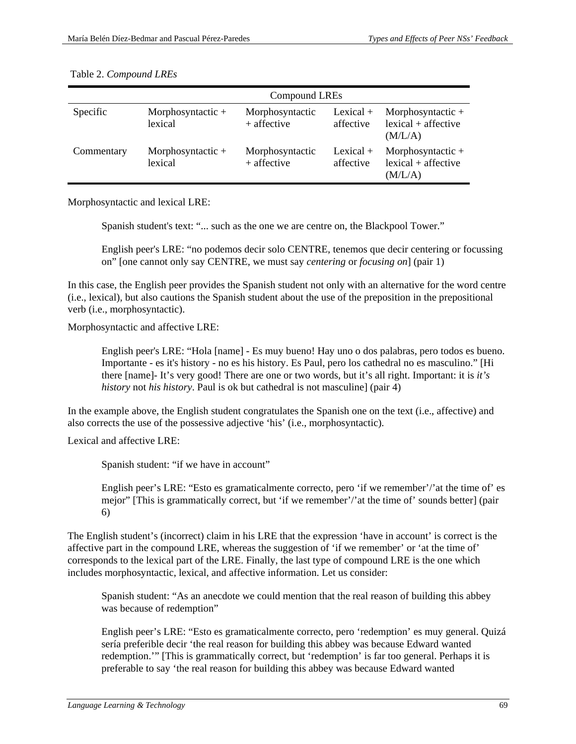|            | Compound LREs                  |                                  |                          |                                                         |
|------------|--------------------------------|----------------------------------|--------------------------|---------------------------------------------------------|
| Specific   | Morphosyntactic $+$<br>lexical | Morphosyntactic<br>$+$ affective | Lexical $+$<br>affective | Morphosyntactic $+$<br>$lexical + affective$<br>(M/L/A) |
| Commentary | Morphosyntactic $+$<br>lexical | Morphosyntactic<br>+ affective   | Lexical $+$<br>affective | Morphosyntactic $+$<br>$lexical + affective$<br>(M/L/A) |

#### <span id="page-7-0"></span>Table 2. *Compound LREs*

Morphosyntactic and lexical LRE:

Spanish student's text: "... such as the one we are centre on, the Blackpool Tower."

English peer's LRE: "no podemos decir solo CENTRE, tenemos que decir centering or focussing on" [one cannot only say CENTRE, we must say *centering* or *focusing on*] (pair 1)

In this case, the English peer provides the Spanish student not only with an alternative for the word centre (i.e., lexical), but also cautions the Spanish student about the use of the preposition in the prepositional verb (i.e., morphosyntactic).

Morphosyntactic and affective LRE:

English peer's LRE: "Hola [name] - Es muy bueno! Hay uno o dos palabras, pero todos es bueno. Importante - es it's history - no es his history. Es Paul, pero los cathedral no es masculino." [Hi there [name]- It's very good! There are one or two words, but it's all right. Important: it is *it's history* not *his history*. Paul is ok but cathedral is not masculine] (pair 4)

In the example above, the English student congratulates the Spanish one on the text (i.e., affective) and also corrects the use of the possessive adjective 'his' (i.e., morphosyntactic).

Lexical and affective LRE:

Spanish student: "if we have in account"

English peer's LRE: "Esto es gramaticalmente correcto, pero 'if we remember'/'at the time of' es mejor" [This is grammatically correct, but 'if we remember'/'at the time of' sounds better] (pair 6)

The English student's (incorrect) claim in his LRE that the expression 'have in account' is correct is the affective part in the compound LRE, whereas the suggestion of 'if we remember' or 'at the time of' corresponds to the lexical part of the LRE. Finally, the last type of compound LRE is the one which includes morphosyntactic, lexical, and affective information. Let us consider:

Spanish student: "As an anecdote we could mention that the real reason of building this abbey was because of redemption"

English peer's LRE: "Esto es gramaticalmente correcto, pero 'redemption' es muy general. Quizá sería preferible decir 'the real reason for building this abbey was because Edward wanted redemption.'" [This is grammatically correct, but 'redemption' is far too general. Perhaps it is preferable to say 'the real reason for building this abbey was because Edward wanted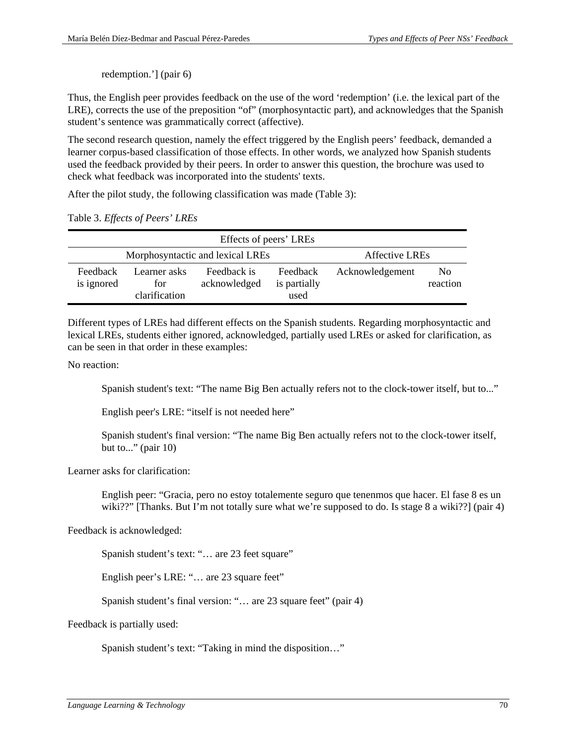redemption.'] (pair 6)

Thus, the English peer provides feedback on the use of the word 'redemption' (i.e. the lexical part of the LRE), corrects the use of the preposition "of" (morphosyntactic part), and acknowledges that the Spanish student's sentence was grammatically correct (affective).

The second research question, namely the effect triggered by the English peers' feedback, demanded a learner corpus-based classification of those effects. In other words, we analyzed how Spanish students used the feedback provided by their peers. In order to answer this question, the brochure was used to check what feedback was incorporated into the students' texts.

After the pilot study, the following classification was made (Table 3):

|  |  | Table 3. Effects of Peers' LREs |  |
|--|--|---------------------------------|--|
|--|--|---------------------------------|--|

|                        | Effects of peers' LREs                             |                             |                                  |                 |                            |
|------------------------|----------------------------------------------------|-----------------------------|----------------------------------|-----------------|----------------------------|
|                        | Morphosyntactic and lexical LREs<br>Affective LREs |                             |                                  |                 |                            |
| Feedback<br>is ignored | Learner asks<br>for<br>clarification               | Feedback is<br>acknowledged | Feedback<br>is partially<br>used | Acknowledgement | N <sub>0</sub><br>reaction |

Different types of LREs had different effects on the Spanish students. Regarding morphosyntactic and lexical LREs, students either ignored, acknowledged, partially used LREs or asked for clarification, as can be seen in that order in these examples:

No reaction:

Spanish student's text: "The name Big Ben actually refers not to the clock-tower itself, but to..."

English peer's LRE: "itself is not needed here"

Spanish student's final version: "The name Big Ben actually refers not to the clock-tower itself, but to..." (pair  $10$ )

Learner asks for clarification:

English peer: "Gracia, pero no estoy totalemente seguro que tenenmos que hacer. El fase 8 es un wiki??" [Thanks. But I'm not totally sure what we're supposed to do. Is stage 8 a wiki??] (pair 4)

Feedback is acknowledged:

Spanish student's text: "… are 23 feet square"

English peer's LRE: "… are 23 square feet"

Spanish student's final version: "… are 23 square feet" (pair 4)

Feedback is partially used:

Spanish student's text: "Taking in mind the disposition…"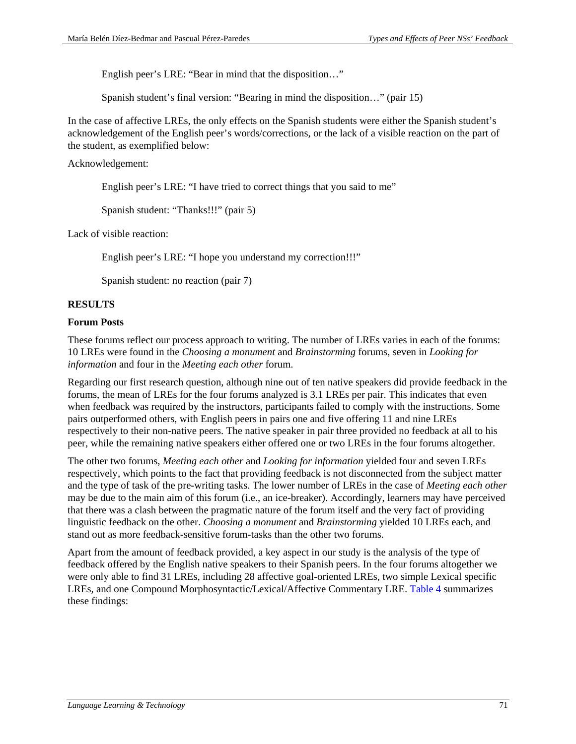English peer's LRE: "Bear in mind that the disposition…"

Spanish student's final version: "Bearing in mind the disposition…" (pair 15)

In the case of affective LREs, the only effects on the Spanish students were either the Spanish student's acknowledgement of the English peer's words/corrections, or the lack of a visible reaction on the part of the student, as exemplified below:

Acknowledgement:

English peer's LRE: "I have tried to correct things that you said to me"

Spanish student: "Thanks!!!" (pair 5)

Lack of visible reaction:

English peer's LRE: "I hope you understand my correction!!!"

Spanish student: no reaction (pair 7)

# **RESULTS**

#### **Forum Posts**

These forums reflect our process approach to writing. The number of LREs varies in each of the forums: 10 LREs were found in the *Choosing a monument* and *Brainstorming* forums, seven in *Looking for information* and four in the *Meeting each other* forum.

Regarding our first research question, although nine out of ten native speakers did provide feedback in the forums, the mean of LREs for the four forums analyzed is 3.1 LREs per pair. This indicates that even when feedback was required by the instructors, participants failed to comply with the instructions. Some pairs outperformed others, with English peers in pairs one and five offering 11 and nine LREs respectively to their non-native peers. The native speaker in pair three provided no feedback at all to his peer, while the remaining native speakers either offered one or two LREs in the four forums altogether.

The other two forums, *Meeting each other* and *Looking for information* yielded four and seven LREs respectively, which points to the fact that providing feedback is not disconnected from the subject matter and the type of task of the pre-writing tasks. The lower number of LREs in the case of *Meeting each other* may be due to the main aim of this forum (i.e., an ice-breaker). Accordingly, learners may have perceived that there was a clash between the pragmatic nature of the forum itself and the very fact of providing linguistic feedback on the other. *Choosing a monument* and *Brainstorming* yielded 10 LREs each, and stand out as more feedback-sensitive forum-tasks than the other two forums.

Apart from the amount of feedback provided, a key aspect in our study is the analysis of the type of feedback offered by the English native speakers to their Spanish peers. In the four forums altogether we were only able to find 31 LREs, including 28 affective goal-oriented LREs, two simple Lexical specific LREs, and one Compound Morphosyntactic/Lexical/Affective Commentary LRE. [Table 4](#page-10-0) summarizes these findings: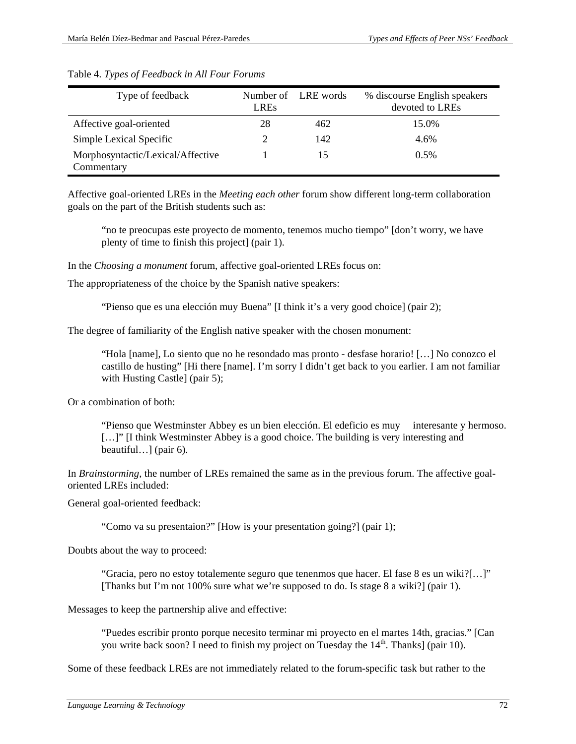| Type of feedback                                | <b>LREs</b> | Number of LRE words | % discourse English speakers<br>devoted to LREs |
|-------------------------------------------------|-------------|---------------------|-------------------------------------------------|
| Affective goal-oriented                         | 28          | 462                 | 15.0%                                           |
| Simple Lexical Specific                         |             | 142                 | 4.6%                                            |
| Morphosyntactic/Lexical/Affective<br>Commentary |             | 15                  | 0.5%                                            |

#### <span id="page-10-0"></span>Table 4. *Types of Feedback in All Four Forums*

Affective goal-oriented LREs in the *Meeting each other* forum show different long-term collaboration goals on the part of the British students such as:

"no te preocupas este proyecto de momento, tenemos mucho tiempo" [don't worry, we have plenty of time to finish this project] (pair 1).

In the *Choosing a monument* forum, affective goal-oriented LREs focus on:

The appropriateness of the choice by the Spanish native speakers:

"Pienso que es una elección muy Buena" [I think it's a very good choice] (pair 2);

The degree of familiarity of the English native speaker with the chosen monument:

"Hola [name], Lo siento que no he resondado mas pronto - desfase horario! […] No conozco el castillo de husting" [Hi there [name]. I'm sorry I didn't get back to you earlier. I am not familiar with Husting Castle] (pair 5);

Or a combination of both:

"Pienso que Westminster Abbey es un bien elección. El edeficio es muy interesante y hermoso. [...]" I think Westminster Abbey is a good choice. The building is very interesting and beautiful…] (pair 6).

In *Brainstorming*, the number of LREs remained the same as in the previous forum. The affective goaloriented LREs included:

General goal-oriented feedback:

"Como va su presentaion?" [How is your presentation going?] (pair 1);

Doubts about the way to proceed:

"Gracia, pero no estoy totalemente seguro que tenenmos que hacer. El fase 8 es un wiki?[…]" [Thanks but I'm not 100% sure what we're supposed to do. Is stage 8 a wiki?] (pair 1).

Messages to keep the partnership alive and effective:

"Puedes escribir pronto porque necesito terminar mi proyecto en el martes 14th, gracias." [Can you write back soon? I need to finish my project on Tuesday the  $14<sup>th</sup>$ . Thanks] (pair 10).

Some of these feedback LREs are not immediately related to the forum-specific task but rather to the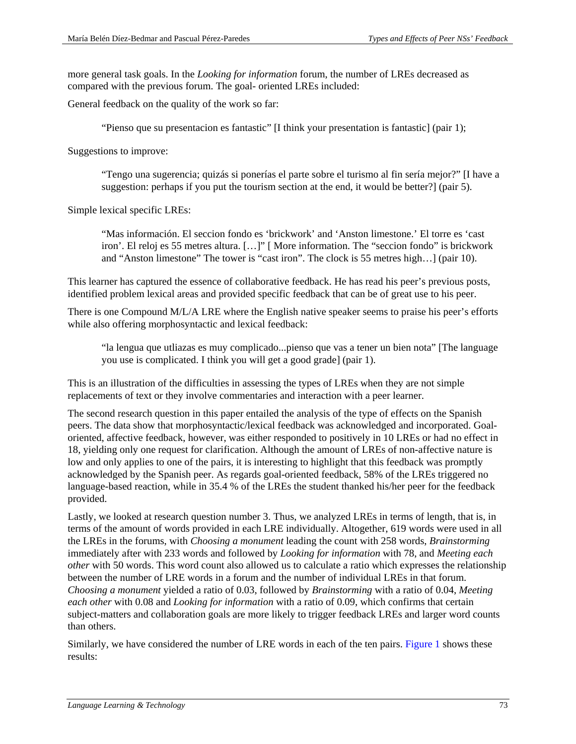more general task goals. In the *Looking for information* forum, the number of LREs decreased as compared with the previous forum. The goal- oriented LREs included:

General feedback on the quality of the work so far:

"Pienso que su presentacion es fantastic" [I think your presentation is fantastic] (pair 1);

Suggestions to improve:

"Tengo una sugerencia; quizás si ponerías el parte sobre el turismo al fin sería mejor?" [I have a suggestion: perhaps if you put the tourism section at the end, it would be better?] (pair 5).

Simple lexical specific LREs:

"Mas información. El seccion fondo es 'brickwork' and 'Anston limestone.' El torre es 'cast iron'. El reloj es 55 metres altura. […]" [ More information. The "seccion fondo" is brickwork and "Anston limestone" The tower is "cast iron". The clock is 55 metres high…] (pair 10).

This learner has captured the essence of collaborative feedback. He has read his peer's previous posts, identified problem lexical areas and provided specific feedback that can be of great use to his peer.

There is one Compound M/L/A LRE where the English native speaker seems to praise his peer's efforts while also offering morphosyntactic and lexical feedback:

"la lengua que utliazas es muy complicado...pienso que vas a tener un bien nota" [The language you use is complicated. I think you will get a good grade] (pair 1).

This is an illustration of the difficulties in assessing the types of LREs when they are not simple replacements of text or they involve commentaries and interaction with a peer learner.

The second research question in this paper entailed the analysis of the type of effects on the Spanish peers. The data show that morphosyntactic/lexical feedback was acknowledged and incorporated. Goaloriented, affective feedback, however, was either responded to positively in 10 LREs or had no effect in 18, yielding only one request for clarification. Although the amount of LREs of non-affective nature is low and only applies to one of the pairs, it is interesting to highlight that this feedback was promptly acknowledged by the Spanish peer. As regards goal-oriented feedback, 58% of the LREs triggered no language-based reaction, while in 35.4 % of the LREs the student thanked his/her peer for the feedback provided.

Lastly, we looked at research question number 3. Thus, we analyzed LREs in terms of length, that is, in terms of the amount of words provided in each LRE individually. Altogether, 619 words were used in all the LREs in the forums, with *Choosing a monument* leading the count with 258 words, *Brainstorming* immediately after with 233 words and followed by *Looking for information* with 78, and *Meeting each other* with 50 words. This word count also allowed us to calculate a ratio which expresses the relationship between the number of LRE words in a forum and the number of individual LREs in that forum. *Choosing a monument* yielded a ratio of 0.03, followed by *Brainstorming* with a ratio of 0.04, *Meeting each other* with 0.08 and *Looking for information* with a ratio of 0.09, which confirms that certain subject-matters and collaboration goals are more likely to trigger feedback LREs and larger word counts than others.

Similarly, we have considered the number of LRE words in each of the ten pairs. [Figure 1](#page-12-0) shows these results: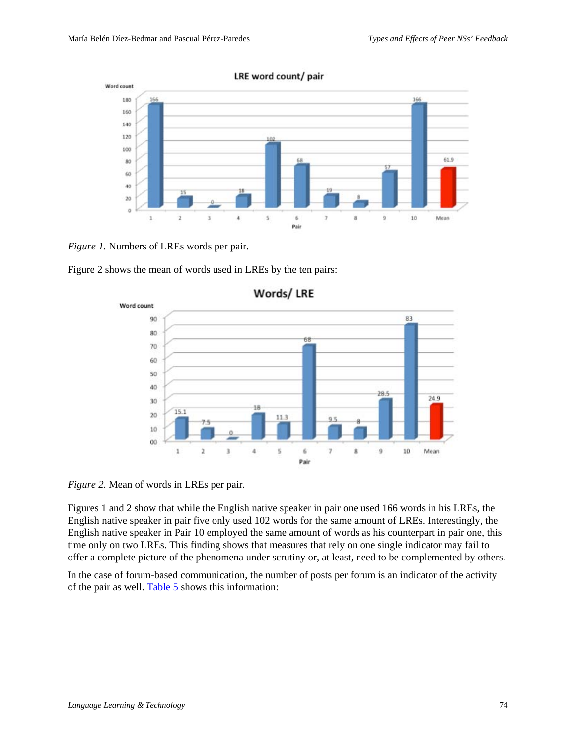

LRE word count/ pair

<span id="page-12-0"></span>*Figure 1.* Numbers of LREs words per pair.

Figure 2 shows the mean of words used in LREs by the ten pairs:



Words/LRE

*Figure 2.* Mean of words in LREs per pair.

Figures 1 and 2 show that while the English native speaker in pair one used 166 words in his LREs, the English native speaker in pair five only used 102 words for the same amount of LREs. Interestingly, the English native speaker in Pair 10 employed the same amount of words as his counterpart in pair one, this time only on two LREs. This finding shows that measures that rely on one single indicator may fail to offer a complete picture of the phenomena under scrutiny or, at least, need to be complemented by others.

In the case of forum-based communication, the number of posts per forum is an indicator of the activity of the pair as well. [Table 5](#page-13-0) shows this information: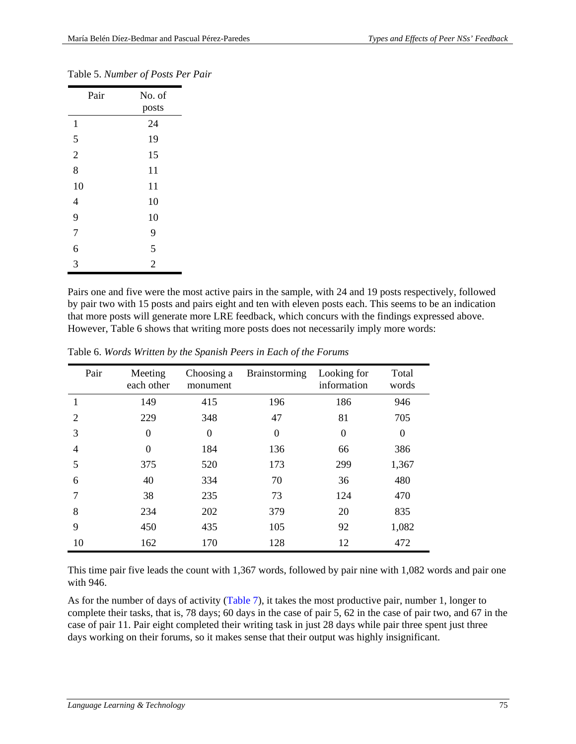| Pair           | No. of<br>posts |
|----------------|-----------------|
| $\mathbf{1}$   | 24              |
| 5              | 19              |
| $\overline{c}$ | 15              |
| 8              | 11              |
| 10             | 11              |
| $\overline{4}$ | 10              |
| 9              | 10              |
| $\overline{7}$ | 9               |
| 6              | 5               |
| $\overline{3}$ | $\overline{c}$  |

# <span id="page-13-0"></span>Table 5. *Number of Posts Per Pair*

Pairs one and five were the most active pairs in the sample, with 24 and 19 posts respectively, followed by pair two with 15 posts and pairs eight and ten with eleven posts each. This seems to be an indication that more posts will generate more LRE feedback, which concurs with the findings expressed above. However, Table 6 shows that writing more posts does not necessarily imply more words:

| Pair           | Meeting<br>each other | Choosing a<br>monument | <b>Brainstorming</b> | Looking for<br>information | Total<br>words |
|----------------|-----------------------|------------------------|----------------------|----------------------------|----------------|
|                | 149                   | 415                    | 196                  | 186                        | 946            |
| $\overline{2}$ | 229                   | 348                    | 47                   | 81                         | 705            |
| 3              | $\overline{0}$        | $\overline{0}$         | $\theta$             | $\theta$                   | $\Omega$       |
| 4              | $\theta$              | 184                    | 136                  | 66                         | 386            |
| 5              | 375                   | 520                    | 173                  | 299                        | 1,367          |
| 6              | 40                    | 334                    | 70                   | 36                         | 480            |
| 7              | 38                    | 235                    | 73                   | 124                        | 470            |
| 8              | 234                   | 202                    | 379                  | 20                         | 835            |
| 9              | 450                   | 435                    | 105                  | 92                         | 1,082          |
| 10             | 162                   | 170                    | 128                  | 12                         | 472            |

Table 6. *Words Written by the Spanish Peers in Each of the Forums*

This time pair five leads the count with 1,367 words, followed by pair nine with 1,082 words and pair one with 946.

As for the number of days of activity [\(Table 7\)](#page-14-0), it takes the most productive pair, number 1, longer to complete their tasks, that is, 78 days; 60 days in the case of pair 5, 62 in the case of pair two, and 67 in the case of pair 11. Pair eight completed their writing task in just 28 days while pair three spent just three days working on their forums, so it makes sense that their output was highly insignificant.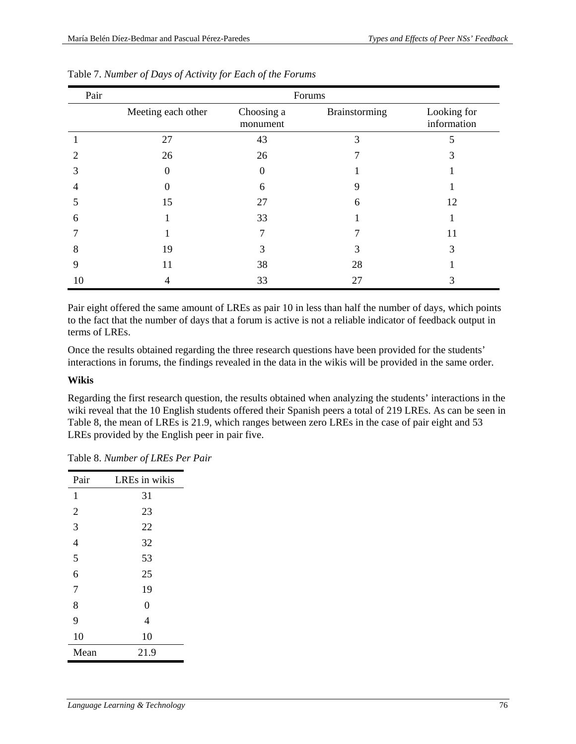| Pair | Forums             |                        |               |                            |  |
|------|--------------------|------------------------|---------------|----------------------------|--|
|      | Meeting each other | Choosing a<br>monument | Brainstorming | Looking for<br>information |  |
|      | 27                 | 43                     | 3             |                            |  |
|      | 26                 | 26                     |               |                            |  |
|      |                    | 0                      |               |                            |  |
|      |                    | 6                      | 9             |                            |  |
|      | 15                 | 27                     | 6             | 12                         |  |
| 6    |                    | 33                     |               |                            |  |
|      |                    |                        |               | 11                         |  |
| 8    | 19                 | 3                      |               | 3                          |  |
| 9    | 11                 | 38                     | 28            |                            |  |
| 10   |                    | 33                     | 27            |                            |  |

<span id="page-14-0"></span>

| Table 7. Number of Days of Activity for Each of the Forums |  |  |
|------------------------------------------------------------|--|--|
|                                                            |  |  |

Pair eight offered the same amount of LREs as pair 10 in less than half the number of days, which points to the fact that the number of days that a forum is active is not a reliable indicator of feedback output in terms of LREs.

Once the results obtained regarding the three research questions have been provided for the students' interactions in forums, the findings revealed in the data in the wikis will be provided in the same order.

# **Wikis**

Regarding the first research question, the results obtained when analyzing the students' interactions in the wiki reveal that the 10 English students offered their Spanish peers a total of 219 LREs. As can be seen in Table 8, the mean of LREs is 21.9, which ranges between zero LREs in the case of pair eight and 53 LREs provided by the English peer in pair five.

| Pair           | LREs in wikis  |
|----------------|----------------|
| 1              | 31             |
| $\overline{2}$ | 23             |
| 3              | 22             |
| $\overline{4}$ | 32             |
| 5              | 53             |
| 6              | 25             |
| $\overline{7}$ | 19             |
| 8              | $\overline{0}$ |
| 9              | 4              |
| 10             | 10             |
| Mean           | 21.9           |

Table 8. *Number of LREs Per Pair*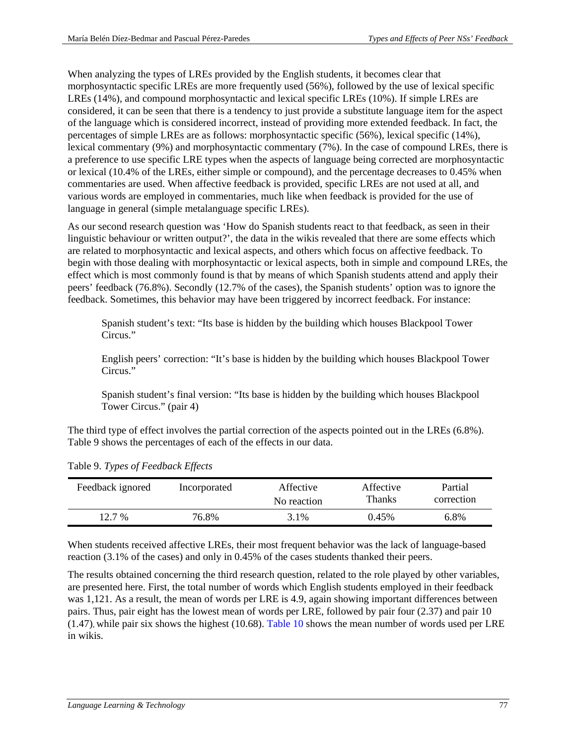When analyzing the types of LREs provided by the English students, it becomes clear that morphosyntactic specific LREs are more frequently used (56%), followed by the use of lexical specific LREs (14%), and compound morphosyntactic and lexical specific LREs (10%). If simple LREs are considered, it can be seen that there is a tendency to just provide a substitute language item for the aspect of the language which is considered incorrect, instead of providing more extended feedback. In fact, the percentages of simple LREs are as follows: morphosyntactic specific (56%), lexical specific (14%), lexical commentary (9%) and morphosyntactic commentary (7%). In the case of compound LREs, there is a preference to use specific LRE types when the aspects of language being corrected are morphosyntactic or lexical (10.4% of the LREs, either simple or compound), and the percentage decreases to 0.45% when commentaries are used. When affective feedback is provided, specific LREs are not used at all, and various words are employed in commentaries, much like when feedback is provided for the use of language in general (simple metalanguage specific LREs).

As our second research question was 'How do Spanish students react to that feedback, as seen in their linguistic behaviour or written output?', the data in the wikis revealed that there are some effects which are related to morphosyntactic and lexical aspects, and others which focus on affective feedback. To begin with those dealing with morphosyntactic or lexical aspects, both in simple and compound LREs, the effect which is most commonly found is that by means of which Spanish students attend and apply their peers' feedback (76.8%). Secondly (12.7% of the cases), the Spanish students' option was to ignore the feedback. Sometimes, this behavior may have been triggered by incorrect feedback. For instance:

Spanish student's text: "Its base is hidden by the building which houses Blackpool Tower Circus."

English peers' correction: "It's base is hidden by the building which houses Blackpool Tower Circus<sup>"</sup>

Spanish student's final version: "Its base is hidden by the building which houses Blackpool Tower Circus." (pair 4)

The third type of effect involves the partial correction of the aspects pointed out in the LREs (6.8%). Table 9 shows the percentages of each of the effects in our data.

| Feedback ignored | Incorporated | Affective<br>No reaction | Affective<br>Thanks | Partial<br>correction |
|------------------|--------------|--------------------------|---------------------|-----------------------|
| $12.7\%$         | 76.8%        | 3.1%                     | 0.45%               | $6.8\%$               |

Table 9. *Types of Feedback Effects*

When students received affective LREs, their most frequent behavior was the lack of language-based reaction (3.1% of the cases) and only in 0.45% of the cases students thanked their peers.

The results obtained concerning the third research question, related to the role played by other variables, are presented here. First, the total number of words which English students employed in their feedback was 1,121. As a result, the mean of words per LRE is 4.9, again showing important differences between pairs. Thus, pair eight has the lowest mean of words per LRE, followed by pair four (2.37) and pair 10 (1.47), while pair six shows the highest (10.68)[. Table 10](#page-16-0) shows the mean number of words used per LRE in wikis.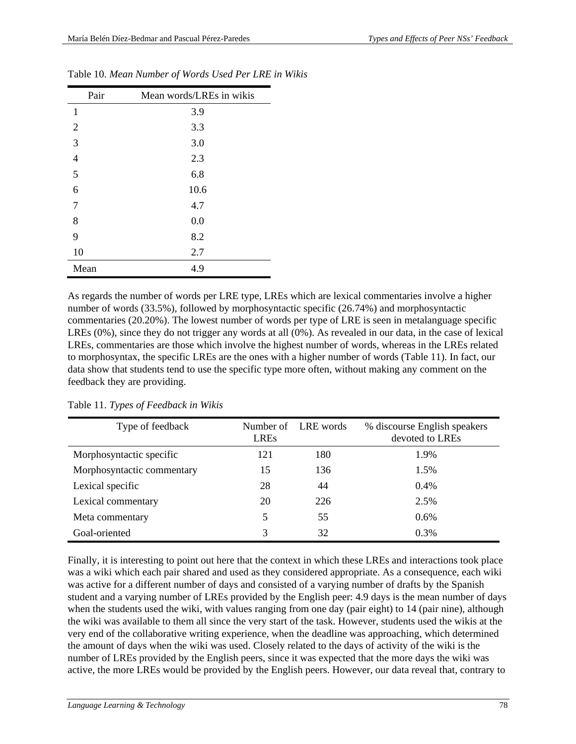| Pair           | Mean words/LREs in wikis |
|----------------|--------------------------|
| 1              | 3.9                      |
| $\overline{2}$ | 3.3                      |
| 3              | 3.0                      |
| $\overline{4}$ | 2.3                      |
| 5              | 6.8                      |
| 6              | 10.6                     |
| 7              | 4.7                      |
| 8              | 0.0                      |
| 9              | 8.2                      |
| 10             | 2.7                      |
| Mean           | 4.9                      |

<span id="page-16-0"></span>Table 10. *Mean Number of Words Used Per LRE in Wikis*

As regards the number of words per LRE type, LREs which are lexical commentaries involve a higher number of words (33.5%), followed by morphosyntactic specific (26.74%) and morphosyntactic commentaries (20.20%). The lowest number of words per type of LRE is seen in metalanguage specific LREs (0%), since they do not trigger any words at all (0%). As revealed in our data, in the case of lexical LREs, commentaries are those which involve the highest number of words, whereas in the LREs related to morphosyntax, the specific LREs are the ones with a higher number of words (Table 11). In fact, our data show that students tend to use the specific type more often, without making any comment on the feedback they are providing.

| Type of feedback           | <b>LREs</b> | Number of LRE words | % discourse English speakers<br>devoted to LREs |
|----------------------------|-------------|---------------------|-------------------------------------------------|
| Morphosyntactic specific   | 121         | 180                 | 1.9%                                            |
| Morphosyntactic commentary | 15          | 136                 | 1.5%                                            |
| Lexical specific           | 28          | 44                  | 0.4%                                            |
| Lexical commentary         | 20          | 226                 | 2.5%                                            |
| Meta commentary            | 5           | 55                  | 0.6%                                            |
| Goal-oriented              | 3           | 32                  | 0.3%                                            |

Table 11. *Types of Feedback in Wikis*

Finally, it is interesting to point out here that the context in which these LREs and interactions took place was a wiki which each pair shared and used as they considered appropriate. As a consequence, each wiki was active for a different number of days and consisted of a varying number of drafts by the Spanish student and a varying number of LREs provided by the English peer: 4.9 days is the mean number of days when the students used the wiki, with values ranging from one day (pair eight) to 14 (pair nine), although the wiki was available to them all since the very start of the task. However, students used the wikis at the very end of the collaborative writing experience, when the deadline was approaching, which determined the amount of days when the wiki was used. Closely related to the days of activity of the wiki is the number of LREs provided by the English peers, since it was expected that the more days the wiki was active, the more LREs would be provided by the English peers. However, our data reveal that, contrary to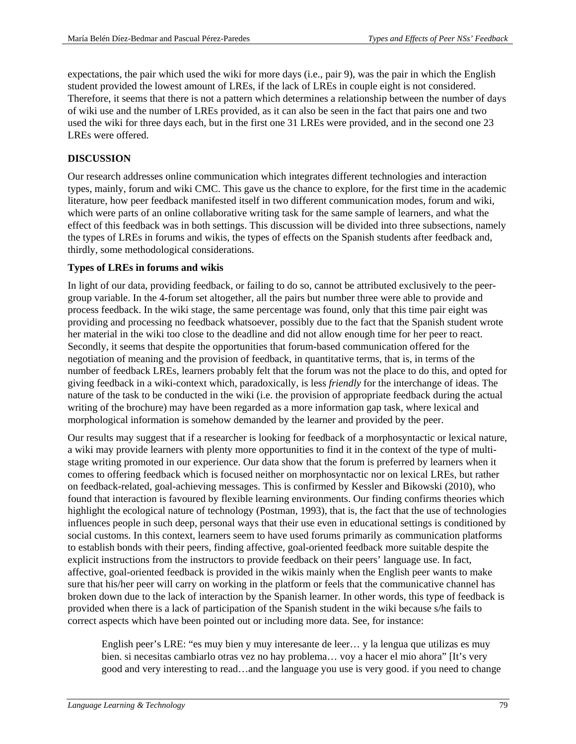expectations, the pair which used the wiki for more days (i.e., pair 9), was the pair in which the English student provided the lowest amount of LREs, if the lack of LREs in couple eight is not considered. Therefore, it seems that there is not a pattern which determines a relationship between the number of days of wiki use and the number of LREs provided, as it can also be seen in the fact that pairs one and two used the wiki for three days each, but in the first one 31 LREs were provided, and in the second one 23 LREs were offered.

# **DISCUSSION**

Our research addresses online communication which integrates different technologies and interaction types, mainly, forum and wiki CMC. This gave us the chance to explore, for the first time in the academic literature, how peer feedback manifested itself in two different communication modes, forum and wiki, which were parts of an online collaborative writing task for the same sample of learners, and what the effect of this feedback was in both settings. This discussion will be divided into three subsections, namely the types of LREs in forums and wikis, the types of effects on the Spanish students after feedback and, thirdly, some methodological considerations.

# **Types of LREs in forums and wikis**

In light of our data, providing feedback, or failing to do so, cannot be attributed exclusively to the peergroup variable. In the 4-forum set altogether, all the pairs but number three were able to provide and process feedback. In the wiki stage, the same percentage was found, only that this time pair eight was providing and processing no feedback whatsoever, possibly due to the fact that the Spanish student wrote her material in the wiki too close to the deadline and did not allow enough time for her peer to react. Secondly, it seems that despite the opportunities that forum-based communication offered for the negotiation of meaning and the provision of feedback, in quantitative terms, that is, in terms of the number of feedback LREs, learners probably felt that the forum was not the place to do this, and opted for giving feedback in a wiki-context which, paradoxically, is less *friendly* for the interchange of ideas. The nature of the task to be conducted in the wiki (i.e. the provision of appropriate feedback during the actual writing of the brochure) may have been regarded as a more information gap task, where lexical and morphological information is somehow demanded by the learner and provided by the peer.

Our results may suggest that if a researcher is looking for feedback of a morphosyntactic or lexical nature, a wiki may provide learners with plenty more opportunities to find it in the context of the type of multistage writing promoted in our experience. Our data show that the forum is preferred by learners when it comes to offering feedback which is focused neither on morphosyntactic nor on lexical LREs, but rather on feedback-related, goal-achieving messages. This is confirmed by Kessler and Bikowski (2010), who found that interaction is favoured by flexible learning environments. Our finding confirms theories which highlight the ecological nature of technology (Postman, 1993), that is, the fact that the use of technologies influences people in such deep, personal ways that their use even in educational settings is conditioned by social customs. In this context, learners seem to have used forums primarily as communication platforms to establish bonds with their peers, finding affective, goal-oriented feedback more suitable despite the explicit instructions from the instructors to provide feedback on their peers' language use. In fact, affective, goal-oriented feedback is provided in the wikis mainly when the English peer wants to make sure that his/her peer will carry on working in the platform or feels that the communicative channel has broken down due to the lack of interaction by the Spanish learner. In other words, this type of feedback is provided when there is a lack of participation of the Spanish student in the wiki because s/he fails to correct aspects which have been pointed out or including more data. See, for instance:

English peer's LRE: "es muy bien y muy interesante de leer… y la lengua que utilizas es muy bien. si necesitas cambiarlo otras vez no hay problema… voy a hacer el mio ahora" [It's very good and very interesting to read…and the language you use is very good. if you need to change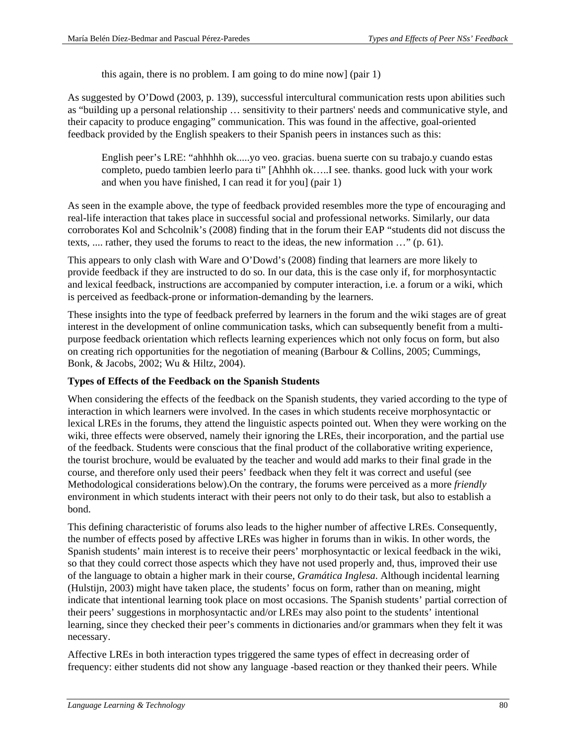this again, there is no problem. I am going to do mine now] (pair 1)

As suggested by O'Dowd (2003, p. 139), successful intercultural communication rests upon abilities such as "building up a personal relationship … sensitivity to their partners' needs and communicative style, and their capacity to produce engaging" communication. This was found in the affective, goal-oriented feedback provided by the English speakers to their Spanish peers in instances such as this:

English peer's LRE: "ahhhhh ok.....yo veo. gracias. buena suerte con su trabajo.y cuando estas completo, puedo tambien leerlo para ti" [Ahhhh ok…..I see. thanks. good luck with your work and when you have finished, I can read it for you] (pair 1)

As seen in the example above, the type of feedback provided resembles more the type of encouraging and real-life interaction that takes place in successful social and professional networks. Similarly, our data corroborates Kol and Schcolnik's (2008) finding that in the forum their EAP "students did not discuss the texts, .... rather, they used the forums to react to the ideas, the new information …" (p. 61).

This appears to only clash with Ware and O'Dowd's (2008) finding that learners are more likely to provide feedback if they are instructed to do so. In our data, this is the case only if, for morphosyntactic and lexical feedback, instructions are accompanied by computer interaction, i.e. a forum or a wiki, which is perceived as feedback-prone or information-demanding by the learners.

These insights into the type of feedback preferred by learners in the forum and the wiki stages are of great interest in the development of online communication tasks, which can subsequently benefit from a multipurpose feedback orientation which reflects learning experiences which not only focus on form, but also on creating rich opportunities for the negotiation of meaning (Barbour & Collins, 2005; Cummings, Bonk, & Jacobs, 2002; Wu & Hiltz, 2004).

# **Types of Effects of the Feedback on the Spanish Students**

When considering the effects of the feedback on the Spanish students, they varied according to the type of interaction in which learners were involved. In the cases in which students receive morphosyntactic or lexical LREs in the forums, they attend the linguistic aspects pointed out. When they were working on the wiki, three effects were observed, namely their ignoring the LREs, their incorporation, and the partial use of the feedback. Students were conscious that the final product of the collaborative writing experience, the tourist brochure, would be evaluated by the teacher and would add marks to their final grade in the course, and therefore only used their peers' feedback when they felt it was correct and useful (see Methodological considerations below).On the contrary, the forums were perceived as a more *friendly* environment in which students interact with their peers not only to do their task, but also to establish a bond.

This defining characteristic of forums also leads to the higher number of affective LREs. Consequently, the number of effects posed by affective LREs was higher in forums than in wikis. In other words, the Spanish students' main interest is to receive their peers' morphosyntactic or lexical feedback in the wiki, so that they could correct those aspects which they have not used properly and, thus, improved their use of the language to obtain a higher mark in their course, *Gramática Inglesa*. Although incidental learning (Hulstijn, 2003) might have taken place, the students' focus on form, rather than on meaning, might indicate that intentional learning took place on most occasions. The Spanish students' partial correction of their peers' suggestions in morphosyntactic and/or LREs may also point to the students' intentional learning, since they checked their peer's comments in dictionaries and/or grammars when they felt it was necessary.

Affective LREs in both interaction types triggered the same types of effect in decreasing order of frequency: either students did not show any language -based reaction or they thanked their peers. While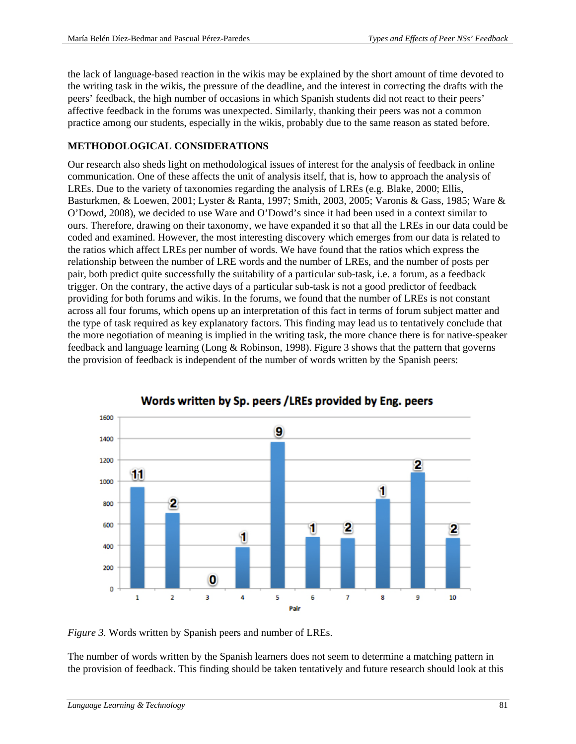the lack of language-based reaction in the wikis may be explained by the short amount of time devoted to the writing task in the wikis, the pressure of the deadline, and the interest in correcting the drafts with the peers' feedback, the high number of occasions in which Spanish students did not react to their peers' affective feedback in the forums was unexpected. Similarly, thanking their peers was not a common practice among our students, especially in the wikis, probably due to the same reason as stated before.

# **METHODOLOGICAL CONSIDERATIONS**

Our research also sheds light on methodological issues of interest for the analysis of feedback in online communication. One of these affects the unit of analysis itself, that is, how to approach the analysis of LREs. Due to the variety of taxonomies regarding the analysis of LREs (e.g. Blake, 2000; Ellis, Basturkmen, & Loewen, 2001; Lyster & Ranta, 1997; Smith, 2003, 2005; Varonis & Gass, 1985; Ware & O'Dowd, 2008), we decided to use Ware and O'Dowd's since it had been used in a context similar to ours. Therefore, drawing on their taxonomy, we have expanded it so that all the LREs in our data could be coded and examined. However, the most interesting discovery which emerges from our data is related to the ratios which affect LREs per number of words. We have found that the ratios which express the relationship between the number of LRE words and the number of LREs, and the number of posts per pair, both predict quite successfully the suitability of a particular sub-task, i.e. a forum, as a feedback trigger. On the contrary, the active days of a particular sub-task is not a good predictor of feedback providing for both forums and wikis. In the forums, we found that the number of LREs is not constant across all four forums, which opens up an interpretation of this fact in terms of forum subject matter and the type of task required as key explanatory factors. This finding may lead us to tentatively conclude that the more negotiation of meaning is implied in the writing task, the more chance there is for native-speaker feedback and language learning (Long & Robinson, 1998). Figure 3 shows that the pattern that governs the provision of feedback is independent of the number of words written by the Spanish peers:



Words written by Sp. peers /LREs provided by Eng. peers

*Figure 3.* Words written by Spanish peers and number of LREs.

The number of words written by the Spanish learners does not seem to determine a matching pattern in the provision of feedback. This finding should be taken tentatively and future research should look at this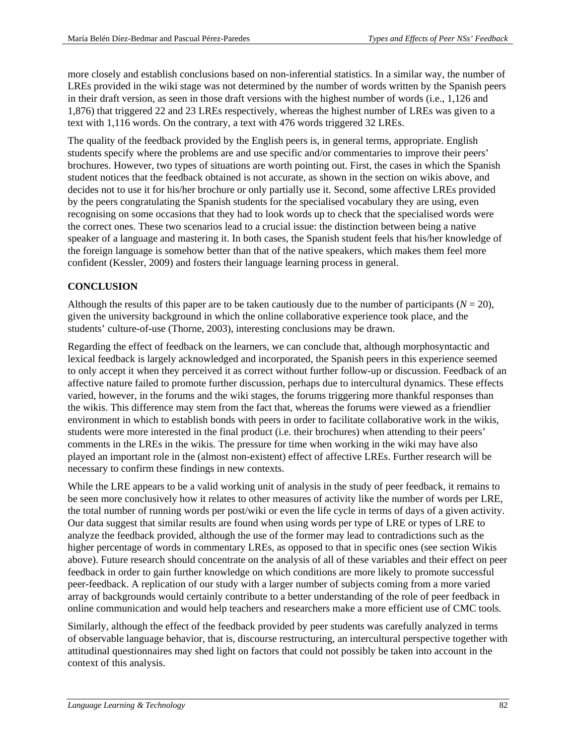more closely and establish conclusions based on non-inferential statistics. In a similar way, the number of LREs provided in the wiki stage was not determined by the number of words written by the Spanish peers in their draft version, as seen in those draft versions with the highest number of words (i.e., 1,126 and 1,876) that triggered 22 and 23 LREs respectively, whereas the highest number of LREs was given to a text with 1,116 words. On the contrary, a text with 476 words triggered 32 LREs.

The quality of the feedback provided by the English peers is, in general terms, appropriate. English students specify where the problems are and use specific and/or commentaries to improve their peers' brochures. However, two types of situations are worth pointing out. First, the cases in which the Spanish student notices that the feedback obtained is not accurate, as shown in the section on wikis above, and decides not to use it for his/her brochure or only partially use it. Second, some affective LREs provided by the peers congratulating the Spanish students for the specialised vocabulary they are using, even recognising on some occasions that they had to look words up to check that the specialised words were the correct ones. These two scenarios lead to a crucial issue: the distinction between being a native speaker of a language and mastering it. In both cases, the Spanish student feels that his/her knowledge of the foreign language is somehow better than that of the native speakers, which makes them feel more confident (Kessler, 2009) and fosters their language learning process in general.

# **CONCLUSION**

Although the results of this paper are to be taken cautiously due to the number of participants  $(N = 20)$ , given the university background in which the online collaborative experience took place, and the students' culture-of-use (Thorne, 2003), interesting conclusions may be drawn.

Regarding the effect of feedback on the learners, we can conclude that, although morphosyntactic and lexical feedback is largely acknowledged and incorporated, the Spanish peers in this experience seemed to only accept it when they perceived it as correct without further follow-up or discussion. Feedback of an affective nature failed to promote further discussion, perhaps due to intercultural dynamics. These effects varied, however, in the forums and the wiki stages, the forums triggering more thankful responses than the wikis. This difference may stem from the fact that, whereas the forums were viewed as a friendlier environment in which to establish bonds with peers in order to facilitate collaborative work in the wikis, students were more interested in the final product (i.e. their brochures) when attending to their peers' comments in the LREs in the wikis. The pressure for time when working in the wiki may have also played an important role in the (almost non-existent) effect of affective LREs. Further research will be necessary to confirm these findings in new contexts.

While the LRE appears to be a valid working unit of analysis in the study of peer feedback, it remains to be seen more conclusively how it relates to other measures of activity like the number of words per LRE, the total number of running words per post/wiki or even the life cycle in terms of days of a given activity. Our data suggest that similar results are found when using words per type of LRE or types of LRE to analyze the feedback provided, although the use of the former may lead to contradictions such as the higher percentage of words in commentary LREs, as opposed to that in specific ones (see section Wikis above). Future research should concentrate on the analysis of all of these variables and their effect on peer feedback in order to gain further knowledge on which conditions are more likely to promote successful peer-feedback. A replication of our study with a larger number of subjects coming from a more varied array of backgrounds would certainly contribute to a better understanding of the role of peer feedback in online communication and would help teachers and researchers make a more efficient use of CMC tools.

Similarly, although the effect of the feedback provided by peer students was carefully analyzed in terms of observable language behavior, that is, discourse restructuring, an intercultural perspective together with attitudinal questionnaires may shed light on factors that could not possibly be taken into account in the context of this analysis.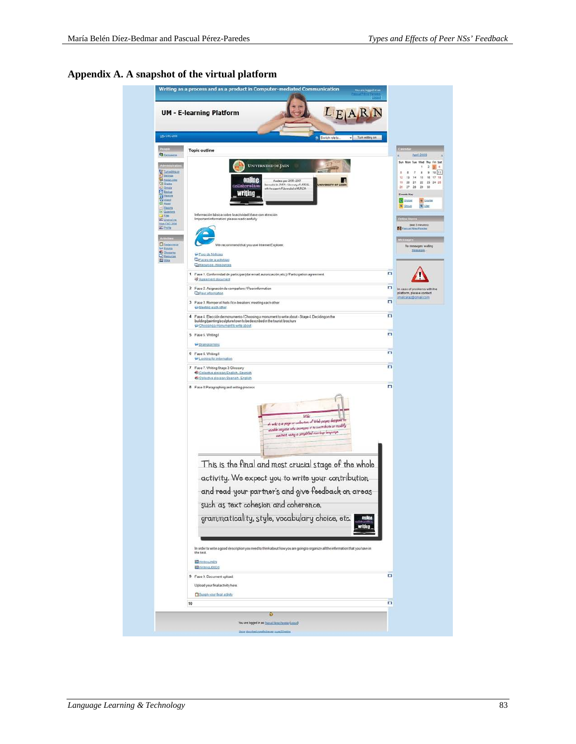<span id="page-21-0"></span>**Appendix A. A snapshot of the virtual platform**

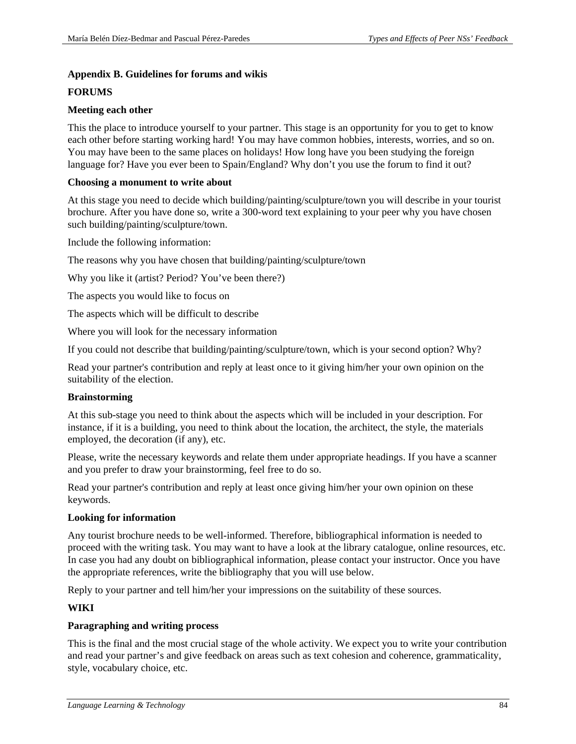#### <span id="page-22-0"></span>**Appendix B. Guidelines for forums and wikis**

#### **FORUMS**

### **Meeting each other**

This the place to introduce yourself to your partner. This stage is an opportunity for you to get to know each other before starting working hard! You may have common hobbies, interests, worries, and so on. You may have been to the same places on holidays! How long have you been studying the foreign language for? Have you ever been to Spain/England? Why don't you use the forum to find it out?

#### **Choosing a monument to write about**

At this stage you need to decide which building/painting/sculpture/town you will describe in your tourist brochure. After you have done so, write a 300-word text explaining to your peer why you have chosen such building/painting/sculpture/town.

Include the following information:

The reasons why you have chosen that building/painting/sculpture/town

Why you like it (artist? Period? You've been there?)

The aspects you would like to focus on

The aspects which will be difficult to describe

Where you will look for the necessary information

If you could not describe that building/painting/sculpture/town, which is your second option? Why?

Read your partner's contribution and reply at least once to it giving him/her your own opinion on the suitability of the election.

# **Brainstorming**

At this sub-stage you need to think about the aspects which will be included in your description. For instance, if it is a building, you need to think about the location, the architect, the style, the materials employed, the decoration (if any), etc.

Please, write the necessary keywords and relate them under appropriate headings. If you have a scanner and you prefer to draw your brainstorming, feel free to do so.

Read your partner's contribution and reply at least once giving him/her your own opinion on these keywords.

# **Looking for information**

Any tourist brochure needs to be well-informed. Therefore, bibliographical information is needed to proceed with the writing task. You may want to have a look at the library catalogue, online resources, etc. In case you had any doubt on bibliographical information, please contact your instructor. Once you have the appropriate references, write the bibliography that you will use below.

Reply to your partner and tell him/her your impressions on the suitability of these sources.

# **WIKI**

# **Paragraphing and writing process**

This is the final and the most crucial stage of the whole activity. We expect you to write your contribution and read your partner's and give feedback on areas such as text cohesion and coherence, grammaticality, style, vocabulary choice, etc.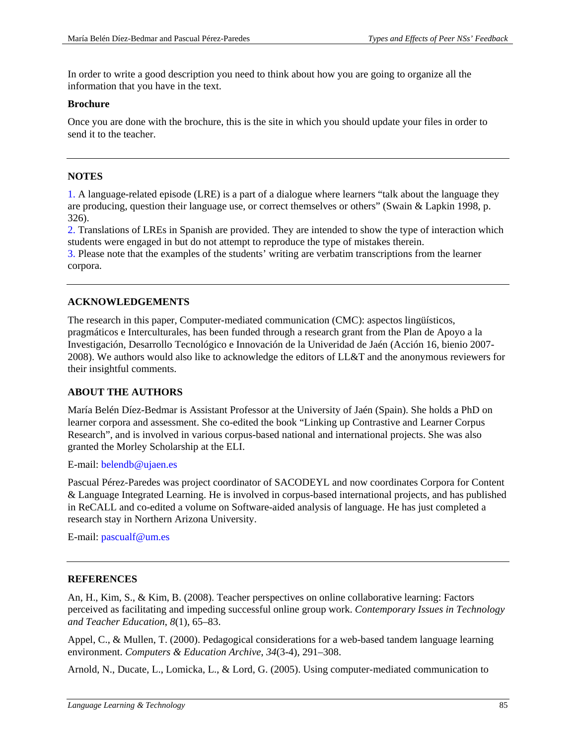In order to write a good description you need to think about how you are going to organize all the information that you have in the text.

#### **Brochure**

Once you are done with the brochure, this is the site in which you should update your files in order to send it to the teacher.

# **NOTES**

<span id="page-23-0"></span>[1.](#page-5-0) A language-related episode (LRE) is a part of a dialogue where learners "talk about the language they are producing, question their language use, or correct themselves or others" (Swain & Lapkin 1998, p. 326).

<span id="page-23-1"></span>[2.](#page-6-0) Translations of LREs in Spanish are provided. They are intended to show the type of interaction which students were engaged in but do not attempt to reproduce the type of mistakes therein.

<span id="page-23-2"></span>[3.](#page-6-1) Please note that the examples of the students' writing are verbatim transcriptions from the learner corpora.

# **ACKNOWLEDGEMENTS**

The research in this paper, Computer-mediated communication (CMC): aspectos lingüísticos, pragmáticos e Interculturales, has been funded through a research grant from the Plan de Apoyo a la Investigación, Desarrollo Tecnológico e Innovación de la Univeridad de Jaén (Acción 16, bienio 2007- 2008). We authors would also like to acknowledge the editors of LL&T and the anonymous reviewers for their insightful comments.

# **ABOUT THE AUTHORS**

María Belén Díez-Bedmar is Assistant Professor at the University of Jaén (Spain). She holds a PhD on learner corpora and assessment. She co-edited the book "Linking up Contrastive and Learner Corpus Research", and is involved in various corpus-based national and international projects. She was also granted the Morley Scholarship at the ELI.

E-mail: [belendb@ujaen.es](mailto:belendb@ujaen.es)

Pascual Pérez-Paredes was project coordinator of SACODEYL and now coordinates Corpora for Content & Language Integrated Learning. He is involved in corpus-based international projects, and has published in ReCALL and co-edited a volume on Software-aided analysis of language. He has just completed a research stay in Northern Arizona University.

E-mail: [pascualf@um.es](mailto:pascualf@um.es)

# **REFERENCES**

An, H., Kim, S., & Kim, B. (2008). Teacher perspectives on online collaborative learning: Factors perceived as facilitating and impeding successful online group work. *Contemporary Issues in Technology and Teacher Education*, *8*(1), 65–83.

Appel, C., & Mullen, T. (2000). Pedagogical considerations for a web-based tandem language learning environment. *Computers & Education Archive*, *34*(3-4), 291–308.

Arnold, N., Ducate, L., Lomicka, L., & Lord, G. (2005). Using computer-mediated communication to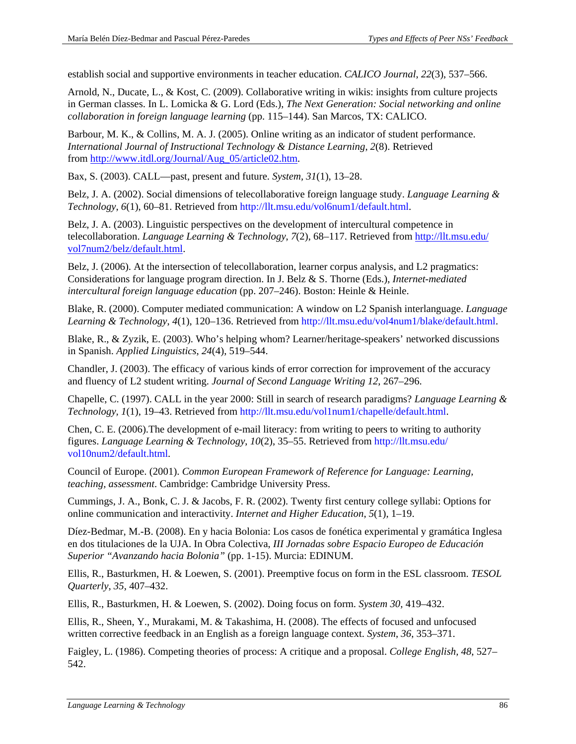establish social and supportive environments in teacher education. *CALICO Journal*, *22*(3), 537–566.

Arnold, N., Ducate, L., & Kost, C. (2009). Collaborative writing in wikis: insights from culture projects in German classes. In L. Lomicka & G. Lord (Eds.), *The Next Generation: Social networking and online collaboration in foreign language learning* (pp. 115–144). San Marcos, TX: CALICO.

Barbour, M. K., & Collins, M. A. J. (2005). Online writing as an indicator of student performance. *International Journal of Instructional Technology & Distance Learning*, *2*(8). Retrieved from [http://www.itdl.org/Journal/Aug\\_05/article02.htm.](http://www.itdl.org/Journal/Aug_05/article02.htm)

Bax, S. (2003). CALL—past, present and future. *System, 31*(1), 13–28.

Belz, J. A. (2002). Social dimensions of telecollaborative foreign language study. *Language Learning & Technology*, *6*(1), 60–81. Retrieved from [http://llt.msu.edu/vol6num1/default.html.](http://llt.msu.edu/vol6num1/default.html)

Belz, J. A. (2003). Linguistic perspectives on the development of intercultural competence in telecollaboration. *Language Learning & Technology*, *7*(2), 68–117. Retrieved from [http://llt.msu.edu/](http://llt.msu.edu/%0bvol7num2/belz/default.html) [vol7num2/belz/default.html.](http://llt.msu.edu/%0bvol7num2/belz/default.html)

Belz, J. (2006). At the intersection of telecollaboration, learner corpus analysis, and L2 pragmatics: Considerations for language program direction. In J. Belz & S. Thorne (Eds.), *Internet-mediated intercultural foreign language education* (pp. 207–246). Boston: Heinle & Heinle.

Blake, R. (2000). Computer mediated communication: A window on L2 Spanish interlanguage. *Language Learning & Technology*, *4*(1), 120–136. Retrieved from [http://llt.msu.edu/vol4num1/blake/default.html.](http://llt.msu.edu/vol4num1/blake/default.html)

Blake, R., & Zyzik, E. (2003). Who's helping whom? Learner/heritage-speakers' networked discussions in Spanish. *Applied Linguistics*, *24*(4), 519–544.

Chandler, J. (2003). The efficacy of various kinds of error correction for improvement of the accuracy and fluency of L2 student writing. *Journal of Second Language Writing 12*, 267–296.

Chapelle, C. (1997). CALL in the year 2000: Still in search of research paradigms? *Language Learning & Technology, 1*(1), 19–43. Retrieved from [http://llt.msu.edu/vol1num1/chapelle/default.html.](http://llt.msu.edu/vol1num1/chapelle/default.html)

Chen, C. E. (2006).The development of e-mail literacy: from writing to peers to writing to authority figures. *Language Learning & Technology*, *10*(2), 35–55. Retrieved from [http://llt.msu.edu/](http://llt.msu.edu/vol10num2/default.html) [vol10num2/default.html.](http://llt.msu.edu/vol10num2/default.html)

Council of Europe. (2001). *Common European Framework of Reference for Language: Learning, teaching, assessment*. Cambridge: Cambridge University Press.

Cummings, J. A., Bonk, C. J. & Jacobs, F. R. (2002). Twenty first century college syllabi: Options for online communication and interactivity. *Internet and Higher Education*, *5*(1), 1–19.

Díez-Bedmar, M.-B. (2008). En y hacia Bolonia: Los casos de fonética experimental y gramática Inglesa en dos titulaciones de la UJA. In Obra Colectiva, *III Jornadas sobre Espacio Europeo de Educación Superior "Avanzando hacia Bolonia"* (pp. 1-15). Murcia: EDINUM.

Ellis, R., Basturkmen, H. & Loewen, S. (2001). Preemptive focus on form in the ESL classroom. *TESOL Quarterly*, *35*, 407–432.

Ellis, R., Basturkmen, H. & Loewen, S. (2002). Doing focus on form. *System 30,* 419–432.

Ellis, R., Sheen, Y., Murakami, M. & Takashima, H. (2008). The effects of focused and unfocused written corrective feedback in an English as a foreign language context. *System*, *36*, 353–371.

Faigley, L. (1986). Competing theories of process: A critique and a proposal. *College English, 48*, 527– 542.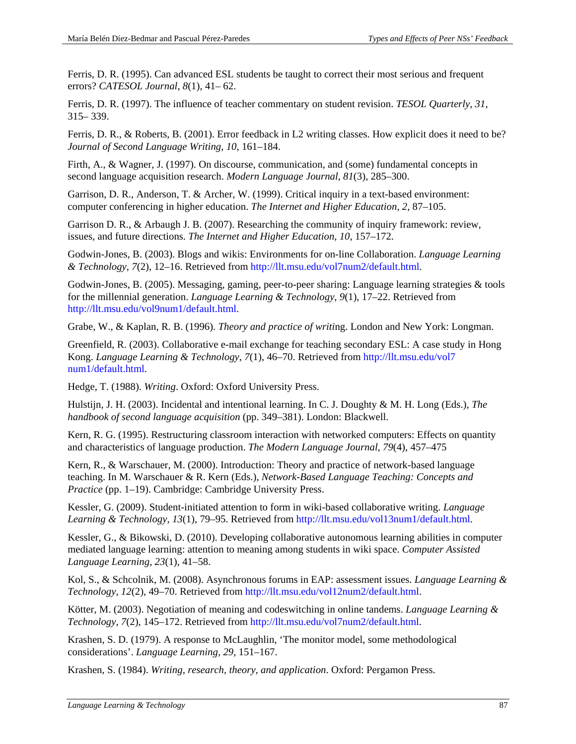Ferris, D. R. (1995). Can advanced ESL students be taught to correct their most serious and frequent errors? *CATESOL Journal*, *8*(1), 41– 62.

Ferris, D. R. (1997). The influence of teacher commentary on student revision. *TESOL Quarterly*, *31*, 315– 339.

Ferris, D. R., & Roberts, B. (2001). Error feedback in L2 writing classes. How explicit does it need to be? *Journal of Second Language Writing*, *10*, 161–184.

Firth, A., & Wagner, J. (1997). On discourse, communication, and (some) fundamental concepts in second language acquisition research. *Modern Language Journal*, *81*(3), 285–300.

Garrison, D. R., Anderson, T. & Archer, W. (1999). Critical inquiry in a text-based environment: computer conferencing in higher education. *The Internet and Higher Education, 2*, 87–105.

Garrison D. R., & Arbaugh J. B. (2007). Researching the community of inquiry framework: review, issues, and future directions. *The Internet and Higher Education*, *10*, 157–172.

Godwin-Jones, B. (2003). Blogs and wikis: Environments for on-line Collaboration. *Language Learning & Technology*, *7*(2), 12–16. Retrieved from [http://llt.msu.edu/vol7num2/default.html.](http://llt.msu.edu/vol7num2/default.html)

Godwin-Jones, B. (2005). Messaging, gaming, peer-to-peer sharing: Language learning strategies & tools for the millennial generation. *Language Learning & Technology*, *9*(1), 17–22. Retrieved from [http://llt.msu.edu/vol9num1/default.html.](http://llt.msu.edu/vol9num1/default.html)

Grabe, W., & Kaplan, R. B. (1996). *Theory and practice of writi*ng. London and New York: Longman.

Greenfield, R. (2003). Collaborative e-mail exchange for teaching secondary ESL: A case study in Hong Kong. *Language Learning & Technology*, *7*(1), 46–70. Retrieved from [http://llt.msu.edu/vol7](http://llt.msu.edu/vol7%0bnum1/default.html) [num1/default.html.](http://llt.msu.edu/vol7%0bnum1/default.html)

Hedge, T. (1988). *Writing*. Oxford: Oxford University Press.

Hulstijn, J. H. (2003). Incidental and intentional learning. In C. J. Doughty & M. H. Long (Eds.), *The handbook of second language acquisition* (pp. 349–381). London: Blackwell.

Kern, R. G. (1995). Restructuring classroom interaction with networked computers: Effects on quantity and characteristics of language production. *The Modern Language Journal*, *79*(4), 457–475

Kern, R., & Warschauer, M. (2000). Introduction: Theory and practice of network-based language teaching. In M. Warschauer & R. Kern (Eds.), *Network-Based Language Teaching: Concepts and Practice* (pp. 1–19). Cambridge: Cambridge University Press.

Kessler, G. (2009). Student-initiated attention to form in wiki-based collaborative writing. *Language Learning & Technology*, *13*(1), 79–95. Retrieved from [http://llt.msu.edu/vol13num1/default.html.](http://llt.msu.edu/vol13num1/default.html)

Kessler, G., & Bikowski, D. (2010). Developing collaborative autonomous learning abilities in computer mediated language learning: attention to meaning among students in wiki space. *Computer Assisted Language Learning*, *23*(1), 41–58.

Kol, S., & Schcolnik, M. (2008). Asynchronous forums in EAP: assessment issues. *Language Learning & Technology*, *12*(2), 49–70. Retrieved from [http://llt.msu.edu/vol12num2/default.html.](http://llt.msu.edu/vol12num2/default.html)

Kötter, M. (2003). Negotiation of meaning and codeswitching in online tandems. *Language Learning & Technology*, *7*(2), 145–172. Retrieved from [http://llt.msu.edu/vol7num2/default.html.](http://llt.msu.edu/vol7num2/default.html)

Krashen, S. D. (1979). A response to McLaughlin, 'The monitor model, some methodological considerations'. *Language Learning, 29*, 151–167.

Krashen, S. (1984). *Writing, research, theory, and application*. Oxford: Pergamon Press.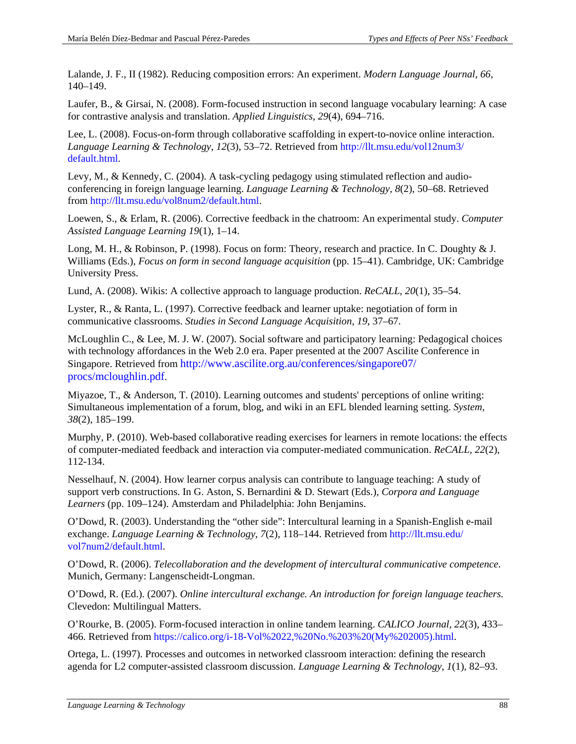Lalande, J. F., II (1982). Reducing composition errors: An experiment. *Modern Language Journal*, *66*, 140–149.

Laufer, B., & Girsai, N. (2008). Form-focused instruction in second language vocabulary learning: A case for contrastive analysis and translation. *Applied Linguistics, 29*(4), 694–716.

Lee, L. (2008). Focus-on-form through collaborative scaffolding in expert-to-novice online interaction. *Language Learning & Technology*, *12*(3), 53–72. Retrieved from [http://llt.msu.edu/vol12num3/](http://llt.msu.edu/vol12num3/%0bdefault.html) [default.html.](http://llt.msu.edu/vol12num3/%0bdefault.html)

Levy, M., & Kennedy, C. (2004). A task-cycling pedagogy using stimulated reflection and audioconferencing in foreign language learning. *Language Learning & Technology, 8*(2), 50–68. Retrieved from [http://llt.msu.edu/vol8num2/default.html.](http://llt.msu.edu/vol8num2/default.html)

Loewen, S., & Erlam, R. (2006). Corrective feedback in the chatroom: An experimental study. *Computer Assisted Language Learning 19*(1), 1–14.

Long, M. H., & Robinson, P. (1998). Focus on form: Theory, research and practice. In C. Doughty & J. Williams (Eds.), *Focus on form in second language acquisition* (pp. 15–41). Cambridge, UK: Cambridge University Press.

Lund, A. (2008). Wikis: A collective approach to language production. *ReCALL*, *20*(1), 35–54.

Lyster, R., & Ranta, L. (1997). Corrective feedback and learner uptake: negotiation of form in communicative classrooms. *Studies in Second Language Acquisition, 19*, 37–67.

McLoughlin C., & Lee, M. J. W. (2007). Social software and participatory learning: Pedagogical choices with technology affordances in the Web 2.0 era. Paper presented at the 2007 Ascilite Conference in Singapore. Retrieved fro[m http://www.ascilite.org.au/conferences/singapore07/](http://www.ascilite.org.au/conferences/singapore07/%0bprocs/mcloughlin.pdf) [procs/mcloughlin.pdf.](http://www.ascilite.org.au/conferences/singapore07/%0bprocs/mcloughlin.pdf)

Miyazoe, T., & Anderson, T. (2010). Learning outcomes and students' perceptions of online writing: Simultaneous implementation of a forum, blog, and wiki in an EFL blended learning setting. *System, 38*(2), 185–199.

Murphy, P. (2010). Web-based collaborative reading exercises for learners in remote locations: the effects of computer-mediated feedback and interaction via computer-mediated communication. *ReCALL, 22*(2), 112-134.

Nesselhauf, N. (2004). How learner corpus analysis can contribute to language teaching: A study of support verb constructions. In G. Aston, S. Bernardini & D. Stewart (Eds.), *Corpora and Language Learners* (pp. 109–124). Amsterdam and Philadelphia: John Benjamins.

O'Dowd, R. (2003). Understanding the "other side": Intercultural learning in a Spanish-English e-mail exchange. *Language Learning & Technology*, *7*(2), 118–144. Retrieved from [http://llt.msu.edu/](http://llt.msu.edu/%0bvol7num2/default.html) [vol7num2/default.html.](http://llt.msu.edu/%0bvol7num2/default.html)

O'Dowd, R. (2006). *Telecollaboration and the development of intercultural communicative competence*. Munich, Germany: Langenscheidt-Longman.

O'Dowd, R. (Ed.). (2007). *Online intercultural exchange. An introduction for foreign language teachers*. Clevedon: Multilingual Matters.

O'Rourke, B. (2005). Form-focused interaction in online tandem learning. *CALICO Journal, 22*(3), 433– 466. Retrieved from [https://calico.org/i-18-Vol%2022,%20No.%203%20\(My%202005\).html.](https://calico.org/i-18-Vol%2022,%20No.%203%20(My%202005).html)

Ortega, L. (1997). Processes and outcomes in networked classroom interaction: defining the research agenda for L2 computer-assisted classroom discussion. *Language Learning & Technology*, *1*(1), 82–93.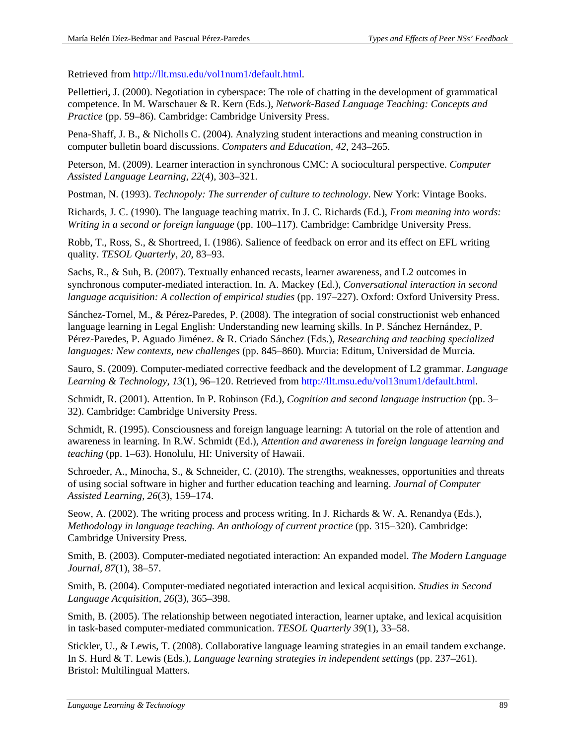Retrieved from [http://llt.msu.edu/vol1num1/default.html.](http://llt.msu.edu/vol1num1/default.html)

Pellettieri, J. (2000). Negotiation in cyberspace: The role of chatting in the development of grammatical competence. In M. Warschauer & R. Kern (Eds.), *Network-Based Language Teaching: Concepts and Practice* (pp. 59–86). Cambridge: Cambridge University Press.

Pena-Shaff, J. B., & Nicholls C. (2004). Analyzing student interactions and meaning construction in computer bulletin board discussions. *Computers and Education, 42*, 243–265.

Peterson, M. (2009). Learner interaction in synchronous CMC: A sociocultural perspective. *Computer Assisted Language Learning*, *22*(4), 303–321.

Postman, N. (1993). *Technopoly: The surrender of culture to technology*. New York: Vintage Books.

Richards, J. C. (1990). The language teaching matrix. In J. C. Richards (Ed.), *From meaning into words: Writing in a second or foreign language* (pp. 100–117). Cambridge: Cambridge University Press.

Robb, T., Ross, S., & Shortreed, I. (1986). Salience of feedback on error and its effect on EFL writing quality. *TESOL Quarterly*, *20*, 83–93.

Sachs, R., & Suh, B. (2007). Textually enhanced recasts, learner awareness, and L2 outcomes in synchronous computer-mediated interaction. In. A. Mackey (Ed.), *Conversational interaction in second language acquisition: A collection of empirical studies* (pp. 197–227). Oxford: Oxford University Press.

Sánchez-Tornel, M., & Pérez-Paredes, P. (2008). The integration of social constructionist web enhanced language learning in Legal English: Understanding new learning skills. In P. Sánchez Hernández, P. Pérez-Paredes, P. Aguado Jiménez. & R. Criado Sánchez (Eds.), *Researching and teaching specialized languages: New contexts, new challenges* (pp. 845–860). Murcia: Editum, Universidad de Murcia.

Sauro, S. (2009). Computer-mediated corrective feedback and the development of L2 grammar. *Language Learning & Technology*, *13*(1), 96–120. Retrieved from [http://llt.msu.edu/vol13num1/default.html.](http://llt.msu.edu/vol13num1/default.html)

Schmidt, R. (2001). Attention. In P. Robinson (Ed.), *Cognition and second language instruction* (pp. 3– 32). Cambridge: Cambridge University Press.

Schmidt, R. (1995). Consciousness and foreign language learning: A tutorial on the role of attention and awareness in learning. In R.W. Schmidt (Ed.), *Attention and awareness in foreign language learning and teaching* (pp. 1–63). Honolulu, HI: University of Hawaii.

Schroeder, A., Minocha, S., & Schneider, C. (2010). The strengths, weaknesses, opportunities and threats of using social software in higher and further education teaching and learning. *Journal of Computer Assisted Learning, 26*(3), 159–174.

Seow, A. (2002). The writing process and process writing. In J. Richards & W. A. Renandya (Eds.), *Methodology in language teaching. An anthology of current practice* (pp. 315–320). Cambridge: Cambridge University Press.

Smith, B. (2003). Computer-mediated negotiated interaction: An expanded model. *The Modern Language Journal, 87*(1), 38–57.

Smith, B. (2004). Computer-mediated negotiated interaction and lexical acquisition. *Studies in Second Language Acquisition, 26*(3), 365–398.

Smith, B. (2005). The relationship between negotiated interaction, learner uptake, and lexical acquisition in task-based computer-mediated communication. *TESOL Quarterly 39*(1), 33–58.

Stickler, U., & Lewis, T. (2008). Collaborative language learning strategies in an email tandem exchange. In S. Hurd & T. Lewis (Eds.), *Language learning strategies in independent settings* (pp. 237–261). Bristol: Multilingual Matters.